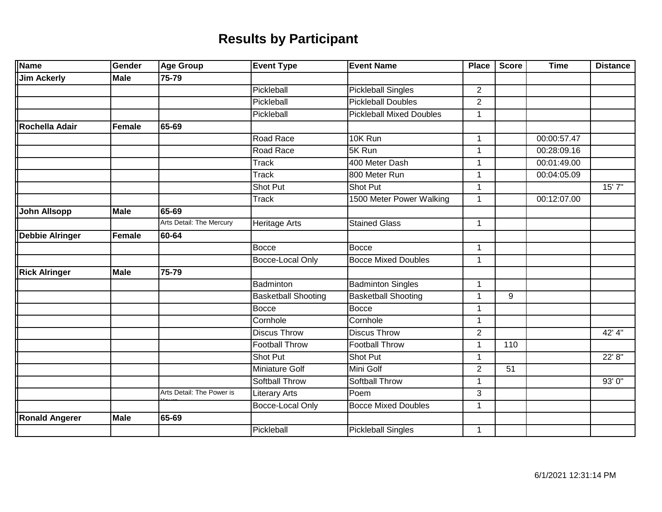| <b>Name</b>            | Gender        | <b>Age Group</b>          | <b>Event Type</b>          | <b>Event Name</b>               | <b>Place</b>   | <b>Score</b> | <b>Time</b> | <b>Distance</b> |
|------------------------|---------------|---------------------------|----------------------------|---------------------------------|----------------|--------------|-------------|-----------------|
| <b>Jim Ackerly</b>     | <b>Male</b>   | 75-79                     |                            |                                 |                |              |             |                 |
|                        |               |                           | Pickleball                 | <b>Pickleball Singles</b>       | $\overline{2}$ |              |             |                 |
|                        |               |                           | Pickleball                 | <b>Pickleball Doubles</b>       | $\overline{2}$ |              |             |                 |
|                        |               |                           | Pickleball                 | <b>Pickleball Mixed Doubles</b> | 1              |              |             |                 |
| Rochella Adair         | <b>Female</b> | 65-69                     |                            |                                 |                |              |             |                 |
|                        |               |                           | Road Race                  | 10K Run                         | $\mathbf 1$    |              | 00:00:57.47 |                 |
|                        |               |                           | Road Race                  | 5K Run                          | 1              |              | 00:28:09.16 |                 |
|                        |               |                           | <b>Track</b>               | 400 Meter Dash                  | $\mathbf 1$    |              | 00:01:49.00 |                 |
|                        |               |                           | <b>Track</b>               | 800 Meter Run                   | 1              |              | 00:04:05.09 |                 |
|                        |               |                           | Shot Put                   | Shot Put                        | 1              |              |             | 15' 7"          |
|                        |               |                           | <b>Track</b>               | 1500 Meter Power Walking        | $\mathbf{1}$   |              | 00:12:07.00 |                 |
| <b>John Allsopp</b>    | <b>Male</b>   | $65 - 69$                 |                            |                                 |                |              |             |                 |
|                        |               | Arts Detail: The Mercury  | <b>Heritage Arts</b>       | <b>Stained Glass</b>            | $\mathbf{1}$   |              |             |                 |
| <b>Debbie Alringer</b> | Female        | 60-64                     |                            |                                 |                |              |             |                 |
|                        |               |                           | <b>Bocce</b>               | <b>Bocce</b>                    | 1              |              |             |                 |
|                        |               |                           | <b>Bocce-Local Only</b>    | <b>Bocce Mixed Doubles</b>      | $\mathbf{1}$   |              |             |                 |
| <b>Rick Alringer</b>   | <b>Male</b>   | 75-79                     |                            |                                 |                |              |             |                 |
|                        |               |                           | Badminton                  | <b>Badminton Singles</b>        | $\mathbf 1$    |              |             |                 |
|                        |               |                           | <b>Basketball Shooting</b> | <b>Basketball Shooting</b>      | 1              | 9            |             |                 |
|                        |               |                           | <b>Bocce</b>               | <b>Bocce</b>                    | 1              |              |             |                 |
|                        |               |                           | Cornhole                   | Cornhole                        | $\mathbf{1}$   |              |             |                 |
|                        |               |                           | <b>Discus Throw</b>        | <b>Discus Throw</b>             | $\overline{2}$ |              |             | $42'$ 4"        |
|                        |               |                           | <b>Football Throw</b>      | <b>Football Throw</b>           | 1              | 110          |             |                 |
|                        |               |                           | Shot Put                   | Shot Put                        | 1              |              |             | 22' 8"          |
|                        |               |                           | <b>Miniature Golf</b>      | Mini Golf                       | $\overline{2}$ | 51           |             |                 |
|                        |               |                           | <b>Softball Throw</b>      | <b>Softball Throw</b>           | 1              |              |             | 93'0''          |
|                        |               | Arts Detail: The Power is | <b>Literary Arts</b>       | Poem                            | 3              |              |             |                 |
|                        |               |                           | Bocce-Local Only           | <b>Bocce Mixed Doubles</b>      | $\mathbf{1}$   |              |             |                 |
| <b>Ronald Angerer</b>  | <b>Male</b>   | 65-69                     |                            |                                 |                |              |             |                 |
|                        |               |                           | Pickleball                 | <b>Pickleball Singles</b>       | $\mathbf{1}$   |              |             |                 |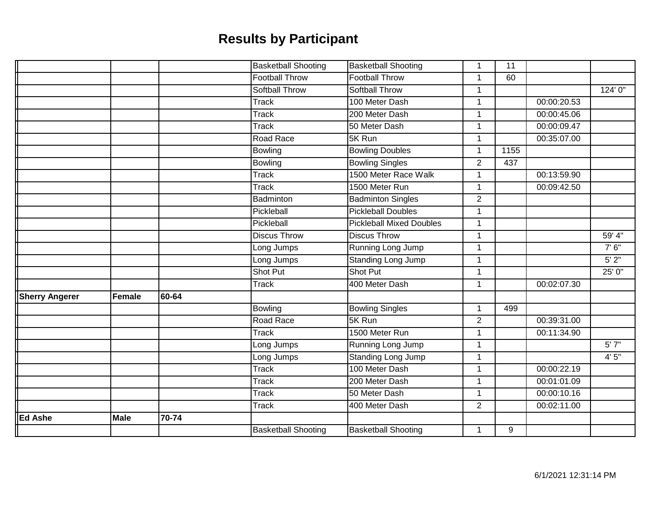|                       |               |           | <b>Basketball Shooting</b> | <b>Basketball Shooting</b>      | $\mathbf 1$    | 11   |             |         |
|-----------------------|---------------|-----------|----------------------------|---------------------------------|----------------|------|-------------|---------|
|                       |               |           | <b>Football Throw</b>      | <b>Football Throw</b>           | 1              | 60   |             |         |
|                       |               |           | <b>Softball Throw</b>      | Softball Throw                  | 1              |      |             | 124'0'' |
|                       |               |           | Track                      | 100 Meter Dash                  | $\mathbf{1}$   |      | 00:00:20.53 |         |
|                       |               |           | <b>Track</b>               | 200 Meter Dash                  | $\mathbf{1}$   |      | 00:00:45.06 |         |
|                       |               |           | Track                      | 50 Meter Dash                   | 1              |      | 00:00:09.47 |         |
|                       |               |           | Road Race                  | 5K Run                          | $\mathbf{1}$   |      | 00:35:07.00 |         |
|                       |               |           | Bowling                    | <b>Bowling Doubles</b>          | 1              | 1155 |             |         |
|                       |               |           | Bowling                    | <b>Bowling Singles</b>          | $\overline{2}$ | 437  |             |         |
|                       |               |           | <b>Track</b>               | 1500 Meter Race Walk            | $\mathbf{1}$   |      | 00:13:59.90 |         |
|                       |               |           | <b>Track</b>               | 1500 Meter Run                  | $\mathbf{1}$   |      | 00:09:42.50 |         |
|                       |               |           | Badminton                  | <b>Badminton Singles</b>        | $\overline{2}$ |      |             |         |
|                       |               |           | Pickleball                 | <b>Pickleball Doubles</b>       | $\mathbf{1}$   |      |             |         |
|                       |               |           | Pickleball                 | <b>Pickleball Mixed Doubles</b> | 1              |      |             |         |
|                       |               |           | <b>Discus Throw</b>        | <b>Discus Throw</b>             | 1              |      |             | 59' 4"  |
|                       |               |           | Long Jumps                 | Running Long Jump               | $\mathbf{1}$   |      |             | 7'6''   |
|                       |               |           | Long Jumps                 | Standing Long Jump              | $\mathbf{1}$   |      |             | 5'2''   |
|                       |               |           | Shot Put                   | Shot Put                        | 1              |      |             | 25' 0"  |
|                       |               |           | <b>Track</b>               | 400 Meter Dash                  | $\mathbf{1}$   |      | 00:02:07.30 |         |
| <b>Sherry Angerer</b> | <b>Female</b> | 60-64     |                            |                                 |                |      |             |         |
|                       |               |           | Bowling                    | <b>Bowling Singles</b>          | $\mathbf{1}$   | 499  |             |         |
|                       |               |           | Road Race                  | 5K Run                          | $\overline{2}$ |      | 00:39:31.00 |         |
|                       |               |           | Track                      | 1500 Meter Run                  | $\mathbf{1}$   |      | 00:11:34.90 |         |
|                       |               |           | Long Jumps                 | Running Long Jump               | $\mathbf{1}$   |      |             | 5'7''   |
|                       |               |           | Long Jumps                 | Standing Long Jump              | 1              |      |             | 4'5''   |
|                       |               |           | <b>Track</b>               | 100 Meter Dash                  | $\mathbf{1}$   |      | 00:00:22.19 |         |
|                       |               |           | <b>Track</b>               | 200 Meter Dash                  | $\mathbf{1}$   |      | 00:01:01.09 |         |
|                       |               |           | Track                      | 50 Meter Dash                   | $\mathbf{1}$   |      | 00:00:10.16 |         |
|                       |               |           | Track                      | 400 Meter Dash                  | $\overline{2}$ |      | 00:02:11.00 |         |
| <b>Ed Ashe</b>        | <b>Male</b>   | $70 - 74$ |                            |                                 |                |      |             |         |
|                       |               |           | <b>Basketball Shooting</b> | <b>Basketball Shooting</b>      | 1              | 9    |             |         |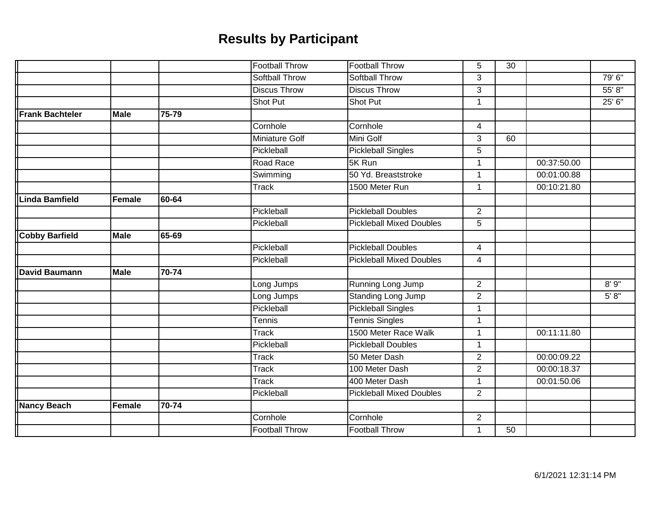|                        |               |       | <b>Football Throw</b> | <b>Football Throw</b>           | 5              | 30 |             |        |
|------------------------|---------------|-------|-----------------------|---------------------------------|----------------|----|-------------|--------|
|                        |               |       | <b>Softball Throw</b> | Softball Throw                  | 3              |    |             | 79'6'' |
|                        |               |       | <b>Discus Throw</b>   | <b>Discus Throw</b>             | 3              |    |             | 55' 8" |
|                        |               |       | Shot Put              | Shot Put                        | $\mathbf 1$    |    |             | 25' 6" |
| <b>Frank Bachteler</b> | <b>Male</b>   | 75-79 |                       |                                 |                |    |             |        |
|                        |               |       | Cornhole              | Cornhole                        | $\overline{4}$ |    |             |        |
|                        |               |       | <b>Miniature Golf</b> | Mini Golf                       | 3              | 60 |             |        |
|                        |               |       | Pickleball            | <b>Pickleball Singles</b>       | 5              |    |             |        |
|                        |               |       | Road Race             | 5K Run                          | 1              |    | 00:37:50.00 |        |
|                        |               |       | Swimming              | 50 Yd. Breaststroke             | $\mathbf 1$    |    | 00:01:00.88 |        |
|                        |               |       | <b>Track</b>          | 1500 Meter Run                  | $\overline{1}$ |    | 00:10:21.80 |        |
| Linda Bamfield         | Female        | 60-64 |                       |                                 |                |    |             |        |
|                        |               |       | Pickleball            | <b>Pickleball Doubles</b>       | $\overline{2}$ |    |             |        |
|                        |               |       | Pickleball            | <b>Pickleball Mixed Doubles</b> | 5              |    |             |        |
| <b>Cobby Barfield</b>  | <b>Male</b>   | 65-69 |                       |                                 |                |    |             |        |
|                        |               |       | Pickleball            | <b>Pickleball Doubles</b>       | $\overline{4}$ |    |             |        |
|                        |               |       | Pickleball            | <b>Pickleball Mixed Doubles</b> | 4              |    |             |        |
| <b>David Baumann</b>   | <b>Male</b>   | 70-74 |                       |                                 |                |    |             |        |
|                        |               |       | Long Jumps            | Running Long Jump               | $\overline{2}$ |    |             | 8'9''  |
|                        |               |       | Long Jumps            | <b>Standing Long Jump</b>       | $\overline{2}$ |    |             | 5' 8'' |
|                        |               |       | Pickleball            | <b>Pickleball Singles</b>       | $\mathbf{1}$   |    |             |        |
|                        |               |       | Tennis                | <b>Tennis Singles</b>           | 1              |    |             |        |
|                        |               |       | <b>Track</b>          | 1500 Meter Race Walk            | $\mathbf{1}$   |    | 00:11:11.80 |        |
|                        |               |       | Pickleball            | <b>Pickleball Doubles</b>       | $\mathbf{1}$   |    |             |        |
|                        |               |       | <b>Track</b>          | 50 Meter Dash                   | $\overline{2}$ |    | 00:00:09.22 |        |
|                        |               |       | <b>Track</b>          | 100 Meter Dash                  | $\overline{2}$ |    | 00:00:18.37 |        |
|                        |               |       | <b>Track</b>          | 400 Meter Dash                  | 1              |    | 00:01:50.06 |        |
|                        |               |       | Pickleball            | <b>Pickleball Mixed Doubles</b> | $\overline{2}$ |    |             |        |
| <b>Nancy Beach</b>     | <b>Female</b> | 70-74 |                       |                                 |                |    |             |        |
|                        |               |       | Cornhole              | Cornhole                        | $\overline{2}$ |    |             |        |
|                        |               |       | <b>Football Throw</b> | <b>Football Throw</b>           | 1              | 50 |             |        |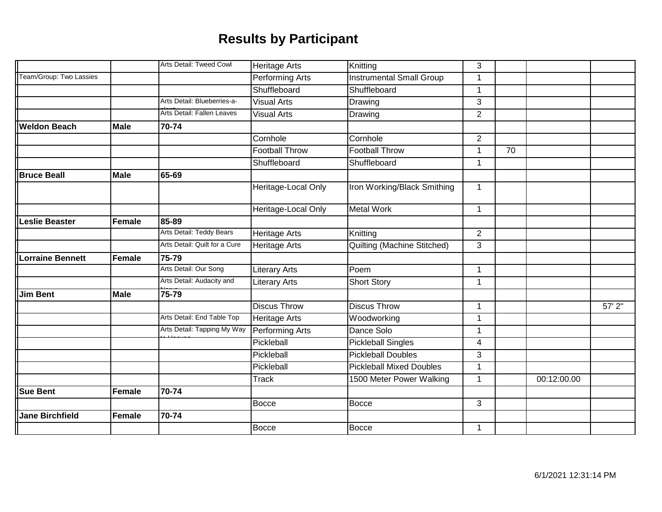|                         |               | Arts Detail: Tweed Cowl       | <b>Heritage Arts</b>   | Knitting                           | 3              |    |             |             |
|-------------------------|---------------|-------------------------------|------------------------|------------------------------------|----------------|----|-------------|-------------|
| Team/Group: Two Lassies |               |                               | Performing Arts        | <b>Instrumental Small Group</b>    | $\mathbf{1}$   |    |             |             |
|                         |               |                               | Shuffleboard           | Shuffleboard                       | $\mathbf 1$    |    |             |             |
|                         |               | Arts Detail: Blueberries-a-   | <b>Visual Arts</b>     | Drawing                            | 3              |    |             |             |
|                         |               | Arts Detail: Fallen Leaves    | <b>Visual Arts</b>     | Drawing                            | $\overline{2}$ |    |             |             |
| <b>Weldon Beach</b>     | <b>Male</b>   | 70-74                         |                        |                                    |                |    |             |             |
|                         |               |                               | Cornhole               | Cornhole                           | $\overline{2}$ |    |             |             |
|                         |               |                               | <b>Football Throw</b>  | <b>Football Throw</b>              | $\mathbf{1}$   | 70 |             |             |
|                         |               |                               | Shuffleboard           | Shuffleboard                       | $\mathbf{1}$   |    |             |             |
| <b>Bruce Beall</b>      | <b>Male</b>   | 65-69                         |                        |                                    |                |    |             |             |
|                         |               |                               | Heritage-Local Only    | Iron Working/Black Smithing        | $\mathbf{1}$   |    |             |             |
|                         |               |                               | Heritage-Local Only    | <b>Metal Work</b>                  | $\mathbf{1}$   |    |             |             |
| Leslie Beaster          | Female        | 85-89                         |                        |                                    |                |    |             |             |
|                         |               | Arts Detail: Teddy Bears      | <b>Heritage Arts</b>   | Knitting                           | $\overline{2}$ |    |             |             |
|                         |               | Arts Detail: Quilt for a Cure | <b>Heritage Arts</b>   | <b>Quilting (Machine Stitched)</b> | 3              |    |             |             |
| <b>Lorraine Bennett</b> | <b>Female</b> | 75-79                         |                        |                                    |                |    |             |             |
|                         |               | Arts Detail: Our Song         | <b>Literary Arts</b>   | Poem                               | $\mathbf{1}$   |    |             |             |
|                         |               | Arts Detail: Audacity and     | <b>Literary Arts</b>   | <b>Short Story</b>                 | $\mathbf 1$    |    |             |             |
| <b>Jim Bent</b>         | <b>Male</b>   | 75-79                         |                        |                                    |                |    |             |             |
|                         |               |                               | <b>Discus Throw</b>    | <b>Discus Throw</b>                | $\mathbf{1}$   |    |             | $57'$ $2''$ |
|                         |               | Arts Detail: End Table Top    | <b>Heritage Arts</b>   | Woodworking                        | $\mathbf 1$    |    |             |             |
|                         |               | Arts Detail: Tapping My Way   | <b>Performing Arts</b> | Dance Solo                         | $\mathbf{1}$   |    |             |             |
|                         |               |                               | Pickleball             | <b>Pickleball Singles</b>          | $\overline{4}$ |    |             |             |
|                         |               |                               | Pickleball             | <b>Pickleball Doubles</b>          | 3              |    |             |             |
|                         |               |                               | Pickleball             | <b>Pickleball Mixed Doubles</b>    | $\mathbf{1}$   |    |             |             |
|                         |               |                               | <b>Track</b>           | 1500 Meter Power Walking           | $\mathbf 1$    |    | 00:12:00.00 |             |
| <b>Sue Bent</b>         | <b>Female</b> | 70-74                         |                        |                                    |                |    |             |             |
|                         |               |                               | <b>Bocce</b>           | <b>Bocce</b>                       | 3              |    |             |             |
| <b>Jane Birchfield</b>  | Female        | 70-74                         |                        |                                    |                |    |             |             |
|                         |               |                               | <b>Bocce</b>           | <b>Bocce</b>                       | $\mathbf{1}$   |    |             |             |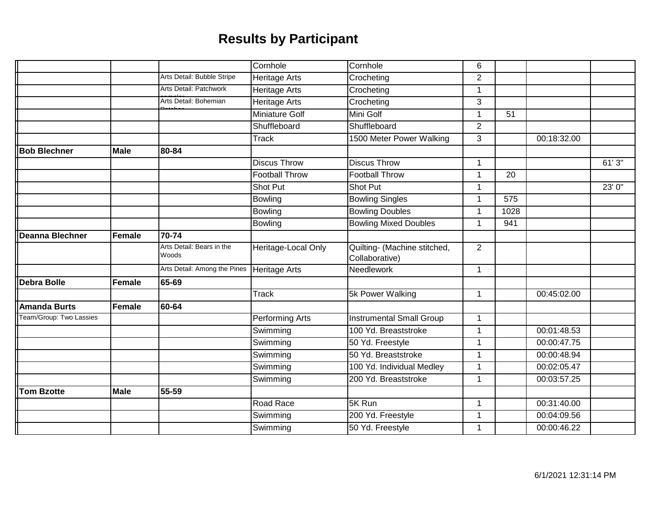|                         |               |                                    | Cornhole              | Cornhole                                       | 6              |                 |             |        |
|-------------------------|---------------|------------------------------------|-----------------------|------------------------------------------------|----------------|-----------------|-------------|--------|
|                         |               | Arts Detail: Bubble Stripe         | <b>Heritage Arts</b>  | Crocheting                                     | $\overline{2}$ |                 |             |        |
|                         |               | Arts Detail: Patchwork             | <b>Heritage Arts</b>  | Crocheting                                     | $\mathbf{1}$   |                 |             |        |
|                         |               | Arts Detail: Bohemian              | <b>Heritage Arts</b>  | Crocheting                                     | 3              |                 |             |        |
|                         |               |                                    | <b>Miniature Golf</b> | Mini Golf                                      | $\mathbf{1}$   | $\overline{51}$ |             |        |
|                         |               |                                    | Shuffleboard          | Shuffleboard                                   | $\overline{2}$ |                 |             |        |
|                         |               |                                    | <b>Track</b>          | 1500 Meter Power Walking                       | 3              |                 | 00:18:32.00 |        |
| <b>Bob Blechner</b>     | <b>Male</b>   | 80-84                              |                       |                                                |                |                 |             |        |
|                         |               |                                    | <b>Discus Throw</b>   | <b>Discus Throw</b>                            | $\mathbf 1$    |                 |             | 61'3'' |
|                         |               |                                    | <b>Football Throw</b> | <b>Football Throw</b>                          | $\mathbf{1}$   | 20              |             |        |
|                         |               |                                    | <b>Shot Put</b>       | Shot Put                                       | 1              |                 |             | 23' 0" |
|                         |               |                                    | Bowling               | <b>Bowling Singles</b>                         | $\mathbf{1}$   | 575             |             |        |
|                         |               |                                    | Bowling               | <b>Bowling Doubles</b>                         | 1              | 1028            |             |        |
|                         |               |                                    | <b>Bowling</b>        | <b>Bowling Mixed Doubles</b>                   | $\mathbf 1$    | 941             |             |        |
| <b>Deanna Blechner</b>  | <b>Female</b> | $70 - 74$                          |                       |                                                |                |                 |             |        |
|                         |               | Arts Detail: Bears in the<br>Woods | Heritage-Local Only   | Quilting- (Machine stitched,<br>Collaborative) | $\overline{2}$ |                 |             |        |
|                         |               | Arts Detail: Among the Pines       | <b>Heritage Arts</b>  | Needlework                                     | $\mathbf{1}$   |                 |             |        |
| <b>Debra Bolle</b>      | <b>Female</b> | 65-69                              |                       |                                                |                |                 |             |        |
|                         |               |                                    | <b>Track</b>          | 5k Power Walking                               | $\mathbf{1}$   |                 | 00:45:02.00 |        |
| <b>Amanda Burts</b>     | <b>Female</b> | 60-64                              |                       |                                                |                |                 |             |        |
| Team/Group: Two Lassies |               |                                    | Performing Arts       | <b>Instrumental Small Group</b>                | 1              |                 |             |        |
|                         |               |                                    | Swimming              | 100 Yd. Breaststroke                           | $\mathbf{1}$   |                 | 00:01:48.53 |        |
|                         |               |                                    | Swimming              | 50 Yd. Freestyle                               | 1              |                 | 00:00:47.75 |        |
|                         |               |                                    | Swimming              | 50 Yd. Breaststroke                            | $\mathbf 1$    |                 | 00:00:48.94 |        |
|                         |               |                                    | Swimming              | 100 Yd. Individual Medley                      | 1              |                 | 00:02:05.47 |        |
|                         |               |                                    | Swimming              | 200 Yd. Breaststroke                           | 1              |                 | 00:03:57.25 |        |
| <b>Tom Bzotte</b>       | <b>Male</b>   | 55-59                              |                       |                                                |                |                 |             |        |
|                         |               |                                    | Road Race             | 5K Run                                         | $\mathbf{1}$   |                 | 00:31:40.00 |        |
|                         |               |                                    | Swimming              | 200 Yd. Freestyle                              | 1              |                 | 00:04:09.56 |        |
|                         |               |                                    | Swimming              | 50 Yd. Freestyle                               | $\mathbf 1$    |                 | 00:00:46.22 |        |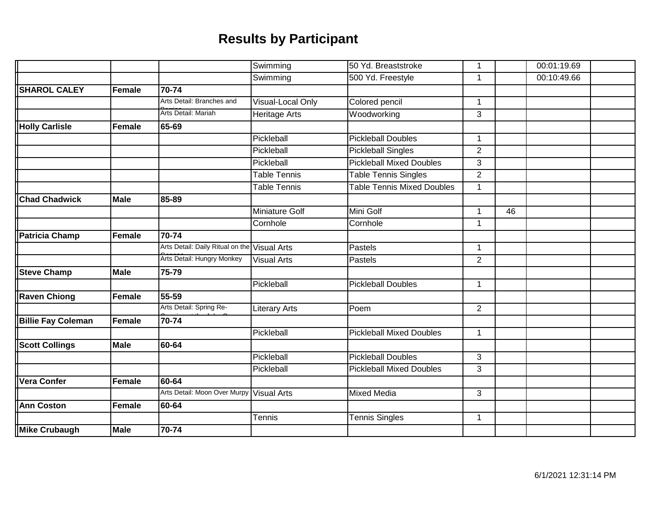|                           |             |                                              | Swimming              | 50 Yd. Breaststroke               | 1              |    | 00:01:19.69 |  |
|---------------------------|-------------|----------------------------------------------|-----------------------|-----------------------------------|----------------|----|-------------|--|
|                           |             |                                              | Swimming              | 500 Yd. Freestyle                 | 1              |    | 00:10:49.66 |  |
| <b>SHAROL CALEY</b>       | Female      | 70-74                                        |                       |                                   |                |    |             |  |
|                           |             | Arts Detail: Branches and                    | Visual-Local Only     | Colored pencil                    | $\mathbf{1}$   |    |             |  |
|                           |             | Arts Detail: Mariah                          | <b>Heritage Arts</b>  | Woodworking                       | 3              |    |             |  |
| <b>Holly Carlisle</b>     | Female      | 65-69                                        |                       |                                   |                |    |             |  |
|                           |             |                                              | Pickleball            | <b>Pickleball Doubles</b>         | $\mathbf{1}$   |    |             |  |
|                           |             |                                              | Pickleball            | <b>Pickleball Singles</b>         | $\overline{2}$ |    |             |  |
|                           |             |                                              | Pickleball            | <b>Pickleball Mixed Doubles</b>   | 3              |    |             |  |
|                           |             |                                              | <b>Table Tennis</b>   | <b>Table Tennis Singles</b>       | $\overline{2}$ |    |             |  |
|                           |             |                                              | <b>Table Tennis</b>   | <b>Table Tennis Mixed Doubles</b> | 1              |    |             |  |
| <b>Chad Chadwick</b>      | <b>Male</b> | 85-89                                        |                       |                                   |                |    |             |  |
|                           |             |                                              | <b>Miniature Golf</b> | Mini Golf                         | 1              | 46 |             |  |
|                           |             |                                              | Cornhole              | Cornhole                          | $\mathbf{1}$   |    |             |  |
| Patricia Champ            | Female      | $70 - 74$                                    |                       |                                   |                |    |             |  |
|                           |             | Arts Detail: Daily Ritual on the Visual Arts |                       | Pastels                           | 1              |    |             |  |
|                           |             | Arts Detail: Hungry Monkey                   | <b>Visual Arts</b>    | Pastels                           | 2              |    |             |  |
| <b>Steve Champ</b>        | <b>Male</b> | 75-79                                        |                       |                                   |                |    |             |  |
|                           |             |                                              | Pickleball            | <b>Pickleball Doubles</b>         | $\mathbf{1}$   |    |             |  |
| <b>Raven Chiong</b>       | Female      | $\overline{55-59}$                           |                       |                                   |                |    |             |  |
|                           |             | Arts Detail: Spring Re-                      | Literary Arts         | Poem                              | $\overline{2}$ |    |             |  |
| <b>Billie Fay Coleman</b> | Female      | 70-74                                        |                       |                                   |                |    |             |  |
|                           |             |                                              | Pickleball            | <b>Pickleball Mixed Doubles</b>   | $\mathbf{1}$   |    |             |  |
| <b>Scott Collings</b>     | <b>Male</b> | 60-64                                        |                       |                                   |                |    |             |  |
|                           |             |                                              | Pickleball            | <b>Pickleball Doubles</b>         | 3              |    |             |  |
|                           |             |                                              | Pickleball            | <b>Pickleball Mixed Doubles</b>   | 3              |    |             |  |
| <b>Vera Confer</b>        | Female      | 60-64                                        |                       |                                   |                |    |             |  |
|                           |             | Arts Detail: Moon Over Murpy                 | <b>Visual Arts</b>    | <b>Mixed Media</b>                | 3              |    |             |  |
| <b>Ann Coston</b>         | Female      | 60-64                                        |                       |                                   |                |    |             |  |
|                           |             |                                              | <b>Tennis</b>         | <b>Tennis Singles</b>             | $\mathbf{1}$   |    |             |  |
| Mike Crubaugh             | <b>Male</b> | 70-74                                        |                       |                                   |                |    |             |  |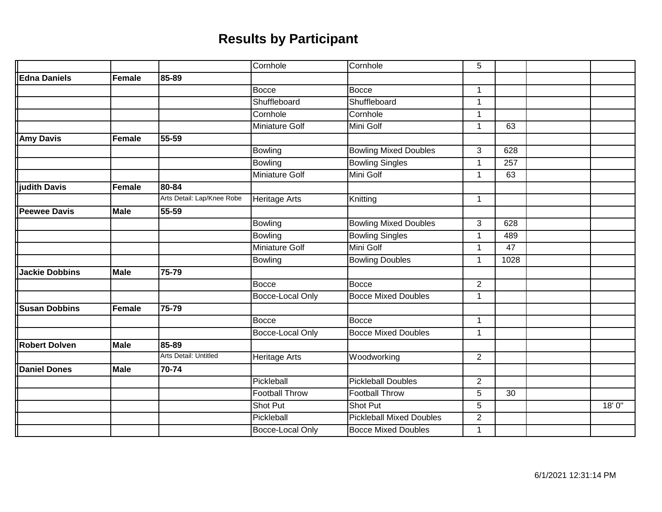|                       |               |                            | Cornhole                | Cornhole                        | 5              |      |        |
|-----------------------|---------------|----------------------------|-------------------------|---------------------------------|----------------|------|--------|
| <b>Edna Daniels</b>   | Female        | 85-89                      |                         |                                 |                |      |        |
|                       |               |                            | <b>Bocce</b>            | <b>Bocce</b>                    | $\mathbf 1$    |      |        |
|                       |               |                            | Shuffleboard            | Shuffleboard                    | 1              |      |        |
|                       |               |                            | Cornhole                | Cornhole                        | $\overline{1}$ |      |        |
|                       |               |                            | <b>Miniature Golf</b>   | Mini Golf                       | $\mathbf 1$    | 63   |        |
| <b>Amy Davis</b>      | Female        | 55-59                      |                         |                                 |                |      |        |
|                       |               |                            | <b>Bowling</b>          | <b>Bowling Mixed Doubles</b>    | 3              | 628  |        |
|                       |               |                            | <b>Bowling</b>          | <b>Bowling Singles</b>          | 1              | 257  |        |
|                       |               |                            | Miniature Golf          | Mini Golf                       | $\mathbf 1$    | 63   |        |
| judith Davis          | Female        | 80-84                      |                         |                                 |                |      |        |
|                       |               | Arts Detail: Lap/Knee Robe | <b>Heritage Arts</b>    | Knitting                        | $\mathbf{1}$   |      |        |
| <b>Peewee Davis</b>   | <b>Male</b>   | 55-59                      |                         |                                 |                |      |        |
|                       |               |                            | <b>Bowling</b>          | <b>Bowling Mixed Doubles</b>    | 3              | 628  |        |
|                       |               |                            | <b>Bowling</b>          | <b>Bowling Singles</b>          | 1              | 489  |        |
|                       |               |                            | <b>Miniature Golf</b>   | Mini Golf                       | $\mathbf 1$    | 47   |        |
|                       |               |                            | <b>Bowling</b>          | <b>Bowling Doubles</b>          | 1              | 1028 |        |
| <b>Jackie Dobbins</b> | <b>Male</b>   | 75-79                      |                         |                                 |                |      |        |
|                       |               |                            | <b>Bocce</b>            | Bocce                           | $\overline{2}$ |      |        |
|                       |               |                            | <b>Bocce-Local Only</b> | <b>Bocce Mixed Doubles</b>      | 1              |      |        |
| <b>Susan Dobbins</b>  | <b>Female</b> | 75-79                      |                         |                                 |                |      |        |
|                       |               |                            | <b>Bocce</b>            | <b>Bocce</b>                    | 1              |      |        |
|                       |               |                            | <b>Bocce-Local Only</b> | <b>Bocce Mixed Doubles</b>      | $\mathbf{1}$   |      |        |
| <b>Robert Dolven</b>  | <b>Male</b>   | 85-89                      |                         |                                 |                |      |        |
|                       |               | Arts Detail: Untitled      | Heritage Arts           | Woodworking                     | $\overline{2}$ |      |        |
| <b>Daniel Dones</b>   | <b>Male</b>   | 70-74                      |                         |                                 |                |      |        |
|                       |               |                            | Pickleball              | <b>Pickleball Doubles</b>       | $\overline{2}$ |      |        |
|                       |               |                            | <b>Football Throw</b>   | <b>Football Throw</b>           | 5              | 30   |        |
|                       |               |                            | <b>Shot Put</b>         | Shot Put                        | 5              |      | 18' 0" |
|                       |               |                            | Pickleball              | <b>Pickleball Mixed Doubles</b> | $\overline{2}$ |      |        |
|                       |               |                            | Bocce-Local Only        | <b>Bocce Mixed Doubles</b>      | 1              |      |        |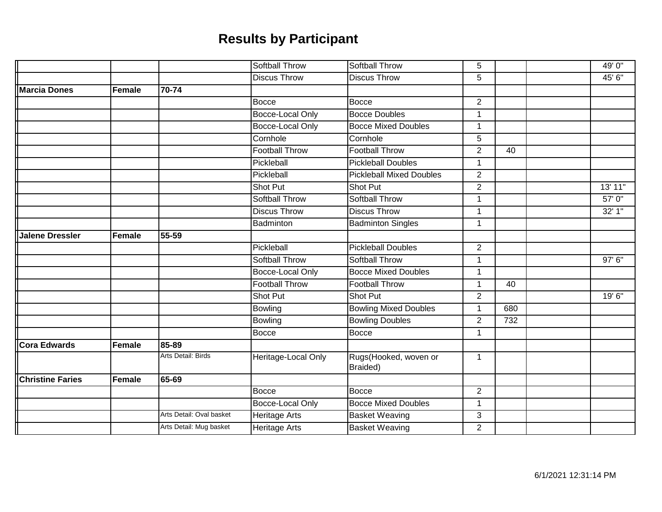|                         |        |                          | <b>Softball Throw</b> | <b>Softball Throw</b>             | 5              |     | 49' 0"  |
|-------------------------|--------|--------------------------|-----------------------|-----------------------------------|----------------|-----|---------|
|                         |        |                          | <b>Discus Throw</b>   | <b>Discus Throw</b>               | 5              |     | 45' 6"  |
| <b>Marcia Dones</b>     | Female | 70-74                    |                       |                                   |                |     |         |
|                         |        |                          | <b>Bocce</b>          | <b>Bocce</b>                      | $\overline{2}$ |     |         |
|                         |        |                          | Bocce-Local Only      | <b>Bocce Doubles</b>              | 1              |     |         |
|                         |        |                          | Bocce-Local Only      | <b>Bocce Mixed Doubles</b>        | 1              |     |         |
|                         |        |                          | Cornhole              | Cornhole                          | 5              |     |         |
|                         |        |                          | <b>Football Throw</b> | <b>Football Throw</b>             | $\overline{2}$ | 40  |         |
|                         |        |                          | Pickleball            | <b>Pickleball Doubles</b>         | 1              |     |         |
|                         |        |                          | Pickleball            | <b>Pickleball Mixed Doubles</b>   | $\overline{2}$ |     |         |
|                         |        |                          | Shot Put              | Shot Put                          | $\overline{2}$ |     | 13' 11" |
|                         |        |                          | <b>Softball Throw</b> | <b>Softball Throw</b>             | $\mathbf{1}$   |     | 57'0''  |
|                         |        |                          | <b>Discus Throw</b>   | <b>Discus Throw</b>               | 1              |     | 32' 1"  |
|                         |        |                          | Badminton             | <b>Badminton Singles</b>          | 1              |     |         |
| <b>Jalene Dressler</b>  | Female | 55-59                    |                       |                                   |                |     |         |
|                         |        |                          | Pickleball            | <b>Pickleball Doubles</b>         | $\overline{2}$ |     |         |
|                         |        |                          | Softball Throw        | Softball Throw                    | 1              |     | 97' 6"  |
|                         |        |                          | Bocce-Local Only      | <b>Bocce Mixed Doubles</b>        | 1              |     |         |
|                         |        |                          | <b>Football Throw</b> | <b>Football Throw</b>             | 1              | 40  |         |
|                         |        |                          | Shot Put              | Shot Put                          | $\overline{c}$ |     | 19' 6"  |
|                         |        |                          | <b>Bowling</b>        | <b>Bowling Mixed Doubles</b>      | 1              | 680 |         |
|                         |        |                          | <b>Bowling</b>        | <b>Bowling Doubles</b>            | $\overline{2}$ | 732 |         |
|                         |        |                          | <b>Bocce</b>          | <b>Bocce</b>                      | $\mathbf{1}$   |     |         |
| Cora Edwards            | Female | 85-89                    |                       |                                   |                |     |         |
|                         |        | Arts Detail: Birds       | Heritage-Local Only   | Rugs(Hooked, woven or<br>Braided) | $\mathbf{1}$   |     |         |
| <b>Christine Faries</b> | Female | 65-69                    |                       |                                   |                |     |         |
|                         |        |                          | <b>Bocce</b>          | <b>Bocce</b>                      | $\overline{2}$ |     |         |
|                         |        |                          | Bocce-Local Only      | <b>Bocce Mixed Doubles</b>        | $\mathbf{1}$   |     |         |
|                         |        | Arts Detail: Oval basket | <b>Heritage Arts</b>  | <b>Basket Weaving</b>             | 3              |     |         |
|                         |        | Arts Detail: Mug basket  | <b>Heritage Arts</b>  | <b>Basket Weaving</b>             | $\overline{2}$ |     |         |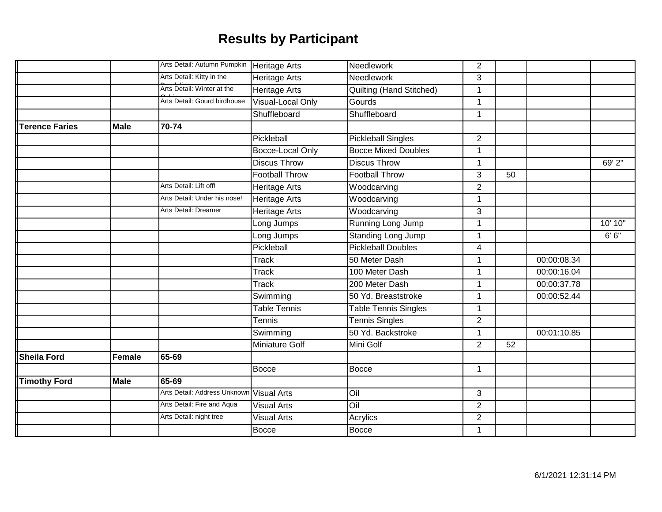|                       |             | Arts Detail: Autumn Pumpkin   Heritage Arts |                              | Needlework                  | $\overline{2}$ |    |             |         |
|-----------------------|-------------|---------------------------------------------|------------------------------|-----------------------------|----------------|----|-------------|---------|
|                       |             |                                             |                              |                             |                |    |             |         |
|                       |             | Arts Detail: Kitty in the                   | <b>Heritage Arts</b>         | Needlework                  | 3              |    |             |         |
|                       |             | Arts Detail: Winter at the                  | <b>Heritage Arts</b>         | Quilting (Hand Stitched)    | 1              |    |             |         |
|                       |             | Arts Detail: Gourd birdhouse                | Visual-Local Only            | Gourds                      | $\mathbf{1}$   |    |             |         |
|                       |             |                                             | Shuffleboard                 | Shuffleboard                | $\mathbf{1}$   |    |             |         |
| <b>Terence Faries</b> | <b>Male</b> | 70-74                                       |                              |                             |                |    |             |         |
|                       |             |                                             | Pickleball                   | <b>Pickleball Singles</b>   | $\overline{2}$ |    |             |         |
|                       |             |                                             | Bocce-Local Only             | <b>Bocce Mixed Doubles</b>  | 1              |    |             |         |
|                       |             |                                             | <b>Discus Throw</b>          | <b>Discus Throw</b>         | $\mathbf{1}$   |    |             | 69' 2"  |
|                       |             |                                             | <b>Football Throw</b>        | <b>Football Throw</b>       | 3              | 50 |             |         |
|                       |             | Arts Detail: Lift off!                      | <b>Heritage Arts</b>         | Woodcarving                 | $\overline{2}$ |    |             |         |
|                       |             | Arts Detail: Under his nose!                | <b>Heritage Arts</b>         | Woodcarving                 | $\mathbf 1$    |    |             |         |
|                       |             | Arts Detail: Dreamer                        | Heritage Arts                | Woodcarving                 | 3              |    |             |         |
|                       |             |                                             | Long Jumps                   | Running Long Jump           | $\mathbf{1}$   |    |             | 10' 10" |
|                       |             |                                             | Long Jumps                   | <b>Standing Long Jump</b>   | 1              |    |             | 6' 6''  |
|                       |             |                                             | Pickleball                   | <b>Pickleball Doubles</b>   | 4              |    |             |         |
|                       |             |                                             | <b>Track</b>                 | 50 Meter Dash               | $\mathbf 1$    |    | 00:00:08.34 |         |
|                       |             |                                             | <b>Track</b>                 | 100 Meter Dash              | 1              |    | 00:00:16.04 |         |
|                       |             |                                             | $\overline{\mathsf{T}}$ rack | 200 Meter Dash              | 1              |    | 00:00:37.78 |         |
|                       |             |                                             | Swimming                     | 50 Yd. Breaststroke         | 1              |    | 00:00:52.44 |         |
|                       |             |                                             | <b>Table Tennis</b>          | <b>Table Tennis Singles</b> | $\mathbf{1}$   |    |             |         |
|                       |             |                                             | Tennis                       | <b>Tennis Singles</b>       | $\overline{2}$ |    |             |         |
|                       |             |                                             | Swimming                     | 50 Yd. Backstroke           | 1              |    | 00:01:10.85 |         |
|                       |             |                                             | <b>Miniature Golf</b>        | Mini Golf                   | $\overline{2}$ | 52 |             |         |
| Sheila Ford           | Female      | 65-69                                       |                              |                             |                |    |             |         |
|                       |             |                                             | <b>Bocce</b>                 | <b>Bocce</b>                | $\mathbf{1}$   |    |             |         |
| <b>Timothy Ford</b>   | <b>Male</b> | 65-69                                       |                              |                             |                |    |             |         |
|                       |             | Arts Detail: Address Unknown Visual Arts    |                              | Oil                         | 3              |    |             |         |
|                       |             | Arts Detail: Fire and Aqua                  | <b>Visual Arts</b>           | Oil                         | $\overline{2}$ |    |             |         |
|                       |             | Arts Detail: night tree                     | <b>Visual Arts</b>           | Acrylics                    | $\overline{2}$ |    |             |         |
|                       |             |                                             | <b>Bocce</b>                 | <b>Bocce</b>                | $\mathbf{1}$   |    |             |         |
|                       |             |                                             |                              |                             |                |    |             |         |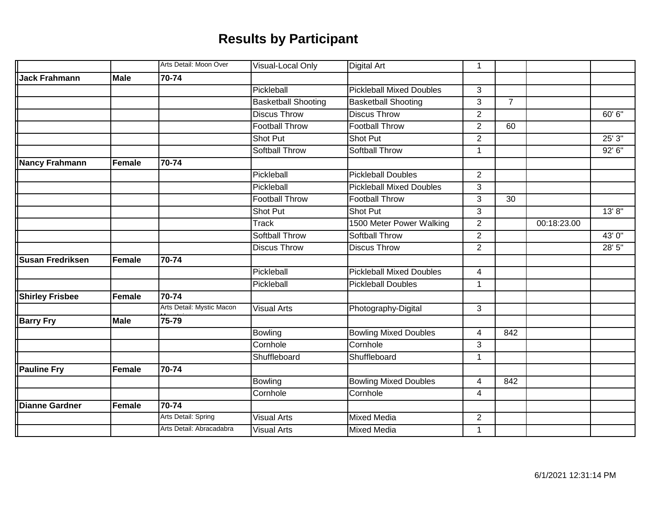|                         |               | Arts Detail: Moon Over    | Visual-Local Only          | <b>Digital Art</b>              | 1              |                 |             |         |
|-------------------------|---------------|---------------------------|----------------------------|---------------------------------|----------------|-----------------|-------------|---------|
| <b>Jack Frahmann</b>    | <b>Male</b>   | 70-74                     |                            |                                 |                |                 |             |         |
|                         |               |                           | Pickleball                 | <b>Pickleball Mixed Doubles</b> | 3              |                 |             |         |
|                         |               |                           | <b>Basketball Shooting</b> | <b>Basketball Shooting</b>      | 3              | $\overline{7}$  |             |         |
|                         |               |                           | <b>Discus Throw</b>        | <b>Discus Throw</b>             | $\overline{2}$ |                 |             | 60' 6"  |
|                         |               |                           | <b>Football Throw</b>      | <b>Football Throw</b>           | $\overline{2}$ | 60              |             |         |
|                         |               |                           | Shot Put                   | Shot Put                        | $\overline{2}$ |                 |             | 25'3''  |
|                         |               |                           | <b>Softball Throw</b>      | <b>Softball Throw</b>           | 1              |                 |             | 92' 6'' |
| Nancy Frahmann          | Female        | 70-74                     |                            |                                 |                |                 |             |         |
|                         |               |                           | Pickleball                 | <b>Pickleball Doubles</b>       | $\overline{2}$ |                 |             |         |
|                         |               |                           | Pickleball                 | <b>Pickleball Mixed Doubles</b> | 3              |                 |             |         |
|                         |               |                           | <b>Football Throw</b>      | <b>Football Throw</b>           | 3              | $\overline{30}$ |             |         |
|                         |               |                           | Shot Put                   | Shot Put                        | 3              |                 |             | 13'8"   |
|                         |               |                           | <b>Track</b>               | 1500 Meter Power Walking        | $\overline{2}$ |                 | 00:18:23.00 |         |
|                         |               |                           | <b>Softball Throw</b>      | <b>Softball Throw</b>           | $\overline{2}$ |                 |             | 43' 0"  |
|                         |               |                           | <b>Discus Throw</b>        | <b>Discus Throw</b>             | $\overline{2}$ |                 |             | 28' 5"  |
| <b>Susan Fredriksen</b> | Female        | 70-74                     |                            |                                 |                |                 |             |         |
|                         |               |                           | Pickleball                 | <b>Pickleball Mixed Doubles</b> | 4              |                 |             |         |
|                         |               |                           | Pickleball                 | <b>Pickleball Doubles</b>       | 1              |                 |             |         |
| <b>Shirley Frisbee</b>  | Female        | $\overline{7}0 - 74$      |                            |                                 |                |                 |             |         |
|                         |               | Arts Detail: Mystic Macon | <b>Visual Arts</b>         | Photography-Digital             | 3              |                 |             |         |
| <b>Barry Fry</b>        | <b>Male</b>   | 75-79                     |                            |                                 |                |                 |             |         |
|                         |               |                           | <b>Bowling</b>             | <b>Bowling Mixed Doubles</b>    | 4              | 842             |             |         |
|                         |               |                           | Cornhole                   | Cornhole                        | 3              |                 |             |         |
|                         |               |                           | Shuffleboard               | Shuffleboard                    | 1              |                 |             |         |
| <b>Pauline Fry</b>      | <b>Female</b> | 70-74                     |                            |                                 |                |                 |             |         |
|                         |               |                           | <b>Bowling</b>             | <b>Bowling Mixed Doubles</b>    | $\overline{4}$ | 842             |             |         |
|                         |               |                           | Cornhole                   | Cornhole                        | 4              |                 |             |         |
| <b>Dianne Gardner</b>   | <b>Female</b> | 70-74                     |                            |                                 |                |                 |             |         |
|                         |               | Arts Detail: Spring       | <b>Visual Arts</b>         | <b>Mixed Media</b>              | $\overline{2}$ |                 |             |         |
|                         |               | Arts Detail: Abracadabra  | <b>Visual Arts</b>         | <b>Mixed Media</b>              | $\mathbf{1}$   |                 |             |         |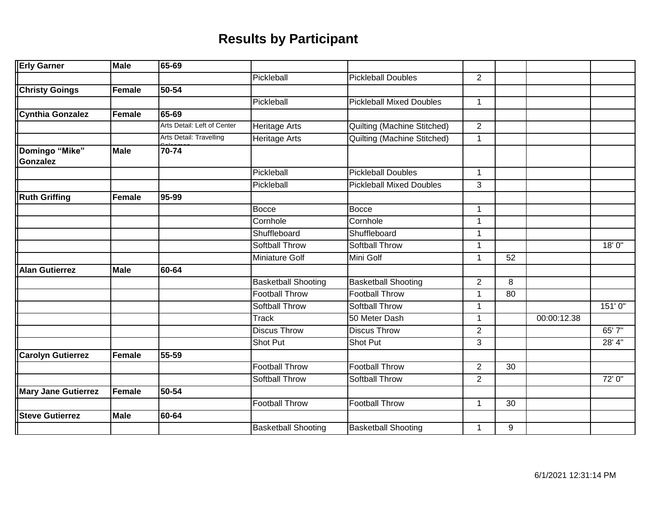| <b>Erly Garner</b>                                                                                                                                                                                                                                                                                                                                                                                                                                                                                                                                                                                                                                                                                                                                                                                                                                                                                                                                                                                                                                                                                                                                                                                                                                                                                                                                                                                                                                                                                                                                                                                                                           | <b>Male</b> | 65-69 |                            |                            |                |                 |             |         |
|----------------------------------------------------------------------------------------------------------------------------------------------------------------------------------------------------------------------------------------------------------------------------------------------------------------------------------------------------------------------------------------------------------------------------------------------------------------------------------------------------------------------------------------------------------------------------------------------------------------------------------------------------------------------------------------------------------------------------------------------------------------------------------------------------------------------------------------------------------------------------------------------------------------------------------------------------------------------------------------------------------------------------------------------------------------------------------------------------------------------------------------------------------------------------------------------------------------------------------------------------------------------------------------------------------------------------------------------------------------------------------------------------------------------------------------------------------------------------------------------------------------------------------------------------------------------------------------------------------------------------------------------|-------------|-------|----------------------------|----------------------------|----------------|-----------------|-------------|---------|
|                                                                                                                                                                                                                                                                                                                                                                                                                                                                                                                                                                                                                                                                                                                                                                                                                                                                                                                                                                                                                                                                                                                                                                                                                                                                                                                                                                                                                                                                                                                                                                                                                                              |             |       | Pickleball                 | <b>Pickleball Doubles</b>  | $\overline{2}$ |                 |             |         |
| 50-54<br><b>Christy Goings</b><br>Female<br><b>Pickleball Mixed Doubles</b><br>Pickleball<br>$\mathbf{1}$<br><b>Cynthia Gonzalez</b><br>65-69<br>Female<br>Arts Detail: Left of Center<br><b>Heritage Arts</b><br>Quilting (Machine Stitched)<br>$\overline{2}$<br>Arts Detail: Travelling<br><b>Quilting (Machine Stitched)</b><br><b>Heritage Arts</b><br>$\mathbf{1}$<br>Domingo "Mike"<br>70-74<br><b>Male</b><br><b>Gonzalez</b><br>Pickleball<br><b>Pickleball Doubles</b><br>$\mathbf{1}$<br><b>Pickleball Mixed Doubles</b><br>3<br>Pickleball<br>95-99<br><b>Ruth Griffing</b><br><b>Female</b><br><b>Bocce</b><br><b>Bocce</b><br>$\mathbf{1}$<br>Cornhole<br>Cornhole<br>$\mathbf{1}$<br>Shuffleboard<br>Shuffleboard<br>$\mathbf{1}$<br><b>Softball Throw</b><br><b>Softball Throw</b><br>$\mathbf{1}$<br><b>Miniature Golf</b><br>Mini Golf<br>$\mathbf 1$<br>60-64<br><b>Male</b><br><b>Alan Gutierrez</b><br><b>Basketball Shooting</b><br><b>Basketball Shooting</b><br>$\overline{2}$<br><b>Football Throw</b><br><b>Football Throw</b><br>$\mathbf{1}$<br><b>Softball Throw</b><br><b>Softball Throw</b><br>$\mathbf{1}$<br><b>Track</b><br>50 Meter Dash<br>$\mathbf 1$<br><b>Discus Throw</b><br><b>Discus Throw</b><br>$\overline{2}$<br><b>Shot Put</b><br>3<br>Shot Put<br>55-59<br><b>Carolyn Gutierrez</b><br>Female<br><b>Football Throw</b><br><b>Football Throw</b><br>$\overline{2}$<br>Softball Throw<br>Softball Throw<br>$\overline{2}$<br>50-54<br><b>Mary Jane Gutierrez</b><br>Female<br><b>Football Throw</b><br><b>Football Throw</b><br>$\mathbf{1}$<br><b>Male</b><br>60-64<br><b>Steve Gutierrez</b> |             |       |                            |                            |                |                 |             |         |
|                                                                                                                                                                                                                                                                                                                                                                                                                                                                                                                                                                                                                                                                                                                                                                                                                                                                                                                                                                                                                                                                                                                                                                                                                                                                                                                                                                                                                                                                                                                                                                                                                                              |             |       |                            |                            |                |                 |             |         |
|                                                                                                                                                                                                                                                                                                                                                                                                                                                                                                                                                                                                                                                                                                                                                                                                                                                                                                                                                                                                                                                                                                                                                                                                                                                                                                                                                                                                                                                                                                                                                                                                                                              |             |       |                            |                            |                |                 |             |         |
|                                                                                                                                                                                                                                                                                                                                                                                                                                                                                                                                                                                                                                                                                                                                                                                                                                                                                                                                                                                                                                                                                                                                                                                                                                                                                                                                                                                                                                                                                                                                                                                                                                              |             |       |                            |                            |                |                 |             |         |
|                                                                                                                                                                                                                                                                                                                                                                                                                                                                                                                                                                                                                                                                                                                                                                                                                                                                                                                                                                                                                                                                                                                                                                                                                                                                                                                                                                                                                                                                                                                                                                                                                                              |             |       |                            |                            |                |                 |             |         |
|                                                                                                                                                                                                                                                                                                                                                                                                                                                                                                                                                                                                                                                                                                                                                                                                                                                                                                                                                                                                                                                                                                                                                                                                                                                                                                                                                                                                                                                                                                                                                                                                                                              |             |       |                            |                            |                |                 |             |         |
|                                                                                                                                                                                                                                                                                                                                                                                                                                                                                                                                                                                                                                                                                                                                                                                                                                                                                                                                                                                                                                                                                                                                                                                                                                                                                                                                                                                                                                                                                                                                                                                                                                              |             |       |                            |                            |                |                 |             |         |
|                                                                                                                                                                                                                                                                                                                                                                                                                                                                                                                                                                                                                                                                                                                                                                                                                                                                                                                                                                                                                                                                                                                                                                                                                                                                                                                                                                                                                                                                                                                                                                                                                                              |             |       |                            |                            |                |                 |             |         |
|                                                                                                                                                                                                                                                                                                                                                                                                                                                                                                                                                                                                                                                                                                                                                                                                                                                                                                                                                                                                                                                                                                                                                                                                                                                                                                                                                                                                                                                                                                                                                                                                                                              |             |       |                            |                            |                |                 |             |         |
|                                                                                                                                                                                                                                                                                                                                                                                                                                                                                                                                                                                                                                                                                                                                                                                                                                                                                                                                                                                                                                                                                                                                                                                                                                                                                                                                                                                                                                                                                                                                                                                                                                              |             |       |                            |                            |                |                 |             |         |
|                                                                                                                                                                                                                                                                                                                                                                                                                                                                                                                                                                                                                                                                                                                                                                                                                                                                                                                                                                                                                                                                                                                                                                                                                                                                                                                                                                                                                                                                                                                                                                                                                                              |             |       |                            |                            |                |                 |             |         |
|                                                                                                                                                                                                                                                                                                                                                                                                                                                                                                                                                                                                                                                                                                                                                                                                                                                                                                                                                                                                                                                                                                                                                                                                                                                                                                                                                                                                                                                                                                                                                                                                                                              |             |       |                            |                            |                |                 |             |         |
|                                                                                                                                                                                                                                                                                                                                                                                                                                                                                                                                                                                                                                                                                                                                                                                                                                                                                                                                                                                                                                                                                                                                                                                                                                                                                                                                                                                                                                                                                                                                                                                                                                              |             |       |                            |                            |                |                 |             | 18'0''  |
|                                                                                                                                                                                                                                                                                                                                                                                                                                                                                                                                                                                                                                                                                                                                                                                                                                                                                                                                                                                                                                                                                                                                                                                                                                                                                                                                                                                                                                                                                                                                                                                                                                              |             |       |                            |                            |                | $\overline{52}$ |             |         |
|                                                                                                                                                                                                                                                                                                                                                                                                                                                                                                                                                                                                                                                                                                                                                                                                                                                                                                                                                                                                                                                                                                                                                                                                                                                                                                                                                                                                                                                                                                                                                                                                                                              |             |       |                            |                            |                |                 |             |         |
|                                                                                                                                                                                                                                                                                                                                                                                                                                                                                                                                                                                                                                                                                                                                                                                                                                                                                                                                                                                                                                                                                                                                                                                                                                                                                                                                                                                                                                                                                                                                                                                                                                              |             |       |                            |                            |                | 8               |             |         |
|                                                                                                                                                                                                                                                                                                                                                                                                                                                                                                                                                                                                                                                                                                                                                                                                                                                                                                                                                                                                                                                                                                                                                                                                                                                                                                                                                                                                                                                                                                                                                                                                                                              |             |       |                            |                            |                | 80              |             |         |
|                                                                                                                                                                                                                                                                                                                                                                                                                                                                                                                                                                                                                                                                                                                                                                                                                                                                                                                                                                                                                                                                                                                                                                                                                                                                                                                                                                                                                                                                                                                                                                                                                                              |             |       |                            |                            |                |                 |             | 151'0'' |
|                                                                                                                                                                                                                                                                                                                                                                                                                                                                                                                                                                                                                                                                                                                                                                                                                                                                                                                                                                                                                                                                                                                                                                                                                                                                                                                                                                                                                                                                                                                                                                                                                                              |             |       |                            |                            |                |                 | 00:00:12.38 |         |
|                                                                                                                                                                                                                                                                                                                                                                                                                                                                                                                                                                                                                                                                                                                                                                                                                                                                                                                                                                                                                                                                                                                                                                                                                                                                                                                                                                                                                                                                                                                                                                                                                                              |             |       |                            |                            |                |                 |             | 65' 7"  |
|                                                                                                                                                                                                                                                                                                                                                                                                                                                                                                                                                                                                                                                                                                                                                                                                                                                                                                                                                                                                                                                                                                                                                                                                                                                                                                                                                                                                                                                                                                                                                                                                                                              |             |       |                            |                            |                |                 |             | 28' 4"  |
|                                                                                                                                                                                                                                                                                                                                                                                                                                                                                                                                                                                                                                                                                                                                                                                                                                                                                                                                                                                                                                                                                                                                                                                                                                                                                                                                                                                                                                                                                                                                                                                                                                              |             |       |                            |                            |                |                 |             |         |
|                                                                                                                                                                                                                                                                                                                                                                                                                                                                                                                                                                                                                                                                                                                                                                                                                                                                                                                                                                                                                                                                                                                                                                                                                                                                                                                                                                                                                                                                                                                                                                                                                                              |             |       |                            |                            |                | 30              |             |         |
|                                                                                                                                                                                                                                                                                                                                                                                                                                                                                                                                                                                                                                                                                                                                                                                                                                                                                                                                                                                                                                                                                                                                                                                                                                                                                                                                                                                                                                                                                                                                                                                                                                              |             |       |                            |                            |                |                 |             | 72' 0"  |
|                                                                                                                                                                                                                                                                                                                                                                                                                                                                                                                                                                                                                                                                                                                                                                                                                                                                                                                                                                                                                                                                                                                                                                                                                                                                                                                                                                                                                                                                                                                                                                                                                                              |             |       |                            |                            |                |                 |             |         |
|                                                                                                                                                                                                                                                                                                                                                                                                                                                                                                                                                                                                                                                                                                                                                                                                                                                                                                                                                                                                                                                                                                                                                                                                                                                                                                                                                                                                                                                                                                                                                                                                                                              |             |       |                            |                            |                | 30              |             |         |
|                                                                                                                                                                                                                                                                                                                                                                                                                                                                                                                                                                                                                                                                                                                                                                                                                                                                                                                                                                                                                                                                                                                                                                                                                                                                                                                                                                                                                                                                                                                                                                                                                                              |             |       |                            |                            |                |                 |             |         |
|                                                                                                                                                                                                                                                                                                                                                                                                                                                                                                                                                                                                                                                                                                                                                                                                                                                                                                                                                                                                                                                                                                                                                                                                                                                                                                                                                                                                                                                                                                                                                                                                                                              |             |       | <b>Basketball Shooting</b> | <b>Basketball Shooting</b> | $\mathbf 1$    | 9               |             |         |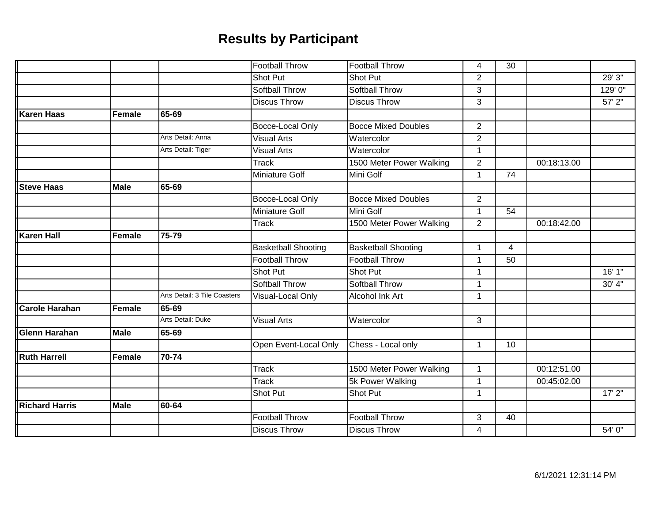|                   |               |                              | <b>Football Throw</b>      | <b>Football Throw</b>      | 4              | 30 |             |             |
|-------------------|---------------|------------------------------|----------------------------|----------------------------|----------------|----|-------------|-------------|
|                   |               |                              | <b>Shot Put</b>            | <b>Shot Put</b>            | $\overline{2}$ |    |             | 29'3''      |
|                   |               |                              | <b>Softball Throw</b>      | <b>Softball Throw</b>      | 3              |    |             | 129' 0"     |
|                   |               |                              | <b>Discus Throw</b>        | <b>Discus Throw</b>        | 3              |    |             | $57'$ $2''$ |
| Karen Haas        | <b>Female</b> | 65-69                        |                            |                            |                |    |             |             |
|                   |               |                              | Bocce-Local Only           | <b>Bocce Mixed Doubles</b> | $\overline{2}$ |    |             |             |
|                   |               | Arts Detail: Anna            | <b>Visual Arts</b>         | Watercolor                 | $\overline{2}$ |    |             |             |
|                   |               | Arts Detail: Tiger           | <b>Visual Arts</b>         | Watercolor                 | $\mathbf{1}$   |    |             |             |
|                   |               |                              | Track                      | 1500 Meter Power Walking   | $\overline{2}$ |    | 00:18:13.00 |             |
|                   |               |                              | Miniature Golf             | Mini Golf                  | $\mathbf{1}$   | 74 |             |             |
| <b>Steve Haas</b> | <b>Male</b>   | 65-69                        |                            |                            |                |    |             |             |
|                   |               |                              | Bocce-Local Only           | <b>Bocce Mixed Doubles</b> | $\overline{2}$ |    |             |             |
|                   |               |                              | <b>Miniature Golf</b>      | Mini Golf                  | 1              | 54 |             |             |
|                   |               |                              | <b>Track</b>               | 1500 Meter Power Walking   | $\overline{2}$ |    | 00:18:42.00 |             |
| <b>Karen Hall</b> | <b>Female</b> | 75-79                        |                            |                            |                |    |             |             |
|                   |               |                              | <b>Basketball Shooting</b> | <b>Basketball Shooting</b> | $\mathbf 1$    | 4  |             |             |
|                   |               |                              | <b>Football Throw</b>      | <b>Football Throw</b>      | 1              | 50 |             |             |
|                   |               |                              | Shot Put                   | Shot Put                   | 1              |    |             | 16' 1"      |
|                   |               |                              | <b>Softball Throw</b>      | <b>Softball Throw</b>      | $\mathbf{1}$   |    |             | 30' 4"      |
|                   |               | Arts Detail: 3 Tile Coasters | Visual-Local Only          | <b>Alcohol Ink Art</b>     | $\mathbf{1}$   |    |             |             |
| Carole Harahan    | <b>Female</b> | 65-69                        |                            |                            |                |    |             |             |
|                   |               | Arts Detail: Duke            | <b>Visual Arts</b>         | Watercolor                 | 3              |    |             |             |
| Glenn Harahan     | <b>Male</b>   | 65-69                        |                            |                            |                |    |             |             |
|                   |               |                              | Open Event-Local Only      | Chess - Local only         | $\mathbf{1}$   | 10 |             |             |
| Ruth Harrell      | Female        | 70-74                        |                            |                            |                |    |             |             |
|                   |               |                              | <b>Track</b>               | 1500 Meter Power Walking   | $\mathbf{1}$   |    | 00:12:51.00 |             |
|                   |               |                              | <b>Track</b>               | 5k Power Walking           | $\mathbf{1}$   |    | 00:45:02.00 |             |
|                   |               |                              | Shot Put                   | Shot Put                   | 1              |    |             | 17'2"       |
| Richard Harris    | <b>Male</b>   | 60-64                        |                            |                            |                |    |             |             |
|                   |               |                              | <b>Football Throw</b>      | <b>Football Throw</b>      | 3              | 40 |             |             |
|                   |               |                              | <b>Discus Throw</b>        | <b>Discus Throw</b>        | $\overline{4}$ |    |             | 54' 0"      |
|                   |               |                              |                            |                            |                |    |             |             |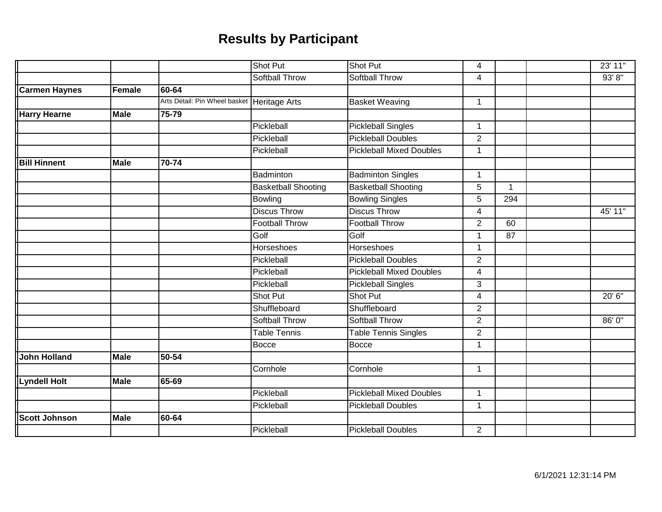|                      |             |                                             | <b>Shot Put</b>            | Shot Put                        | 4              |             | 23' 11" |
|----------------------|-------------|---------------------------------------------|----------------------------|---------------------------------|----------------|-------------|---------|
|                      |             |                                             | <b>Softball Throw</b>      | <b>Softball Throw</b>           | 4              |             | 93' 8'' |
| <b>Carmen Haynes</b> | Female      | 60-64                                       |                            |                                 |                |             |         |
|                      |             | Arts Detail: Pin Wheel basket Heritage Arts |                            | <b>Basket Weaving</b>           | $\mathbf 1$    |             |         |
| <b>Harry Hearne</b>  | <b>Male</b> | 75-79                                       |                            |                                 |                |             |         |
|                      |             |                                             | Pickleball                 | <b>Pickleball Singles</b>       | $\mathbf 1$    |             |         |
|                      |             |                                             | Pickleball                 | <b>Pickleball Doubles</b>       | $\overline{2}$ |             |         |
|                      |             |                                             | Pickleball                 | <b>Pickleball Mixed Doubles</b> | $\mathbf 1$    |             |         |
| <b>Bill Hinnent</b>  | <b>Male</b> | 70-74                                       |                            |                                 |                |             |         |
|                      |             |                                             | Badminton                  | <b>Badminton Singles</b>        | $\mathbf 1$    |             |         |
|                      |             |                                             | <b>Basketball Shooting</b> | <b>Basketball Shooting</b>      | 5              | $\mathbf 1$ |         |
|                      |             |                                             | <b>Bowling</b>             | <b>Bowling Singles</b>          | 5              | 294         |         |
|                      |             |                                             | <b>Discus Throw</b>        | <b>Discus Throw</b>             | 4              |             | 45'11"  |
|                      |             |                                             | <b>Football Throw</b>      | <b>Football Throw</b>           | $\overline{2}$ | 60          |         |
|                      |             |                                             | Golf                       | Golf                            | $\mathbf{1}$   | 87          |         |
|                      |             |                                             | <b>Horseshoes</b>          | Horseshoes                      | $\mathbf 1$    |             |         |
|                      |             |                                             | Pickleball                 | <b>Pickleball Doubles</b>       | $\overline{2}$ |             |         |
|                      |             |                                             | Pickleball                 | <b>Pickleball Mixed Doubles</b> | $\overline{4}$ |             |         |
|                      |             |                                             | Pickleball                 | <b>Pickleball Singles</b>       | 3              |             |         |
|                      |             |                                             | <b>Shot Put</b>            | Shot Put                        | $\overline{4}$ |             | 20' 6"  |
|                      |             |                                             | Shuffleboard               | Shuffleboard                    | $\overline{2}$ |             |         |
|                      |             |                                             | Softball Throw             | Softball Throw                  | $\overline{2}$ |             | 86' 0"  |
|                      |             |                                             | <b>Table Tennis</b>        | <b>Table Tennis Singles</b>     | $\overline{2}$ |             |         |
|                      |             |                                             | <b>Bocce</b>               | Bocce                           | 1              |             |         |
| <b>John Holland</b>  | <b>Male</b> | 50-54                                       |                            |                                 |                |             |         |
|                      |             |                                             | Cornhole                   | Cornhole                        | $\mathbf{1}$   |             |         |
| <b>Lyndell Holt</b>  | <b>Male</b> | 65-69                                       |                            |                                 |                |             |         |
|                      |             |                                             | Pickleball                 | <b>Pickleball Mixed Doubles</b> | $\mathbf{1}$   |             |         |
|                      |             |                                             | Pickleball                 | <b>Pickleball Doubles</b>       | $\mathbf 1$    |             |         |
| <b>Scott Johnson</b> | <b>Male</b> | 60-64                                       |                            |                                 |                |             |         |
|                      |             |                                             | Pickleball                 | <b>Pickleball Doubles</b>       | $\overline{2}$ |             |         |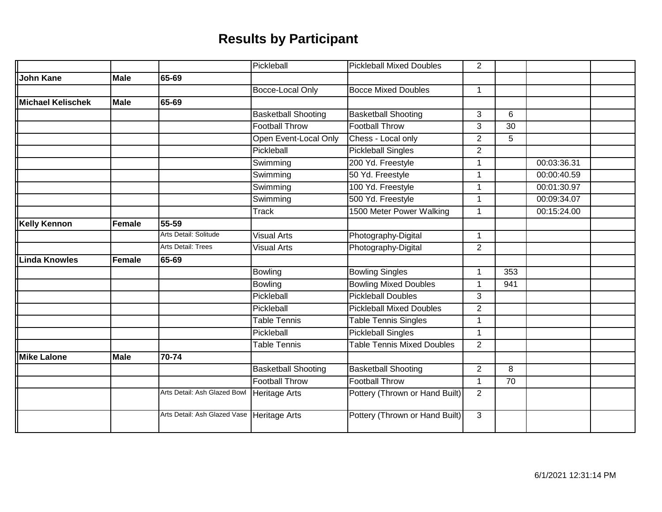|                      |               |                              | Pickleball                 | <b>Pickleball Mixed Doubles</b>   | $\overline{2}$       |     |             |  |
|----------------------|---------------|------------------------------|----------------------------|-----------------------------------|----------------------|-----|-------------|--|
| <b>John Kane</b>     | <b>Male</b>   | 65-69                        |                            |                                   |                      |     |             |  |
|                      |               |                              | Bocce-Local Only           | <b>Bocce Mixed Doubles</b>        | $\mathbf 1$          |     |             |  |
| Michael Kelischek    | <b>Male</b>   | 65-69                        |                            |                                   |                      |     |             |  |
|                      |               |                              | <b>Basketball Shooting</b> | <b>Basketball Shooting</b>        | 3                    | 6   |             |  |
|                      |               |                              | <b>Football Throw</b>      | <b>Football Throw</b>             | 3                    | 30  |             |  |
|                      |               |                              | Open Event-Local Only      | Chess - Local only                | $\overline{2}$       | 5   |             |  |
|                      |               |                              | Pickleball                 | <b>Pickleball Singles</b>         | $\overline{2}$       |     |             |  |
|                      |               |                              | Swimming                   | 200 Yd. Freestyle                 | $\mathbf 1$          |     | 00:03:36.31 |  |
|                      |               |                              | Swimming                   | 50 Yd. Freestyle                  |                      |     | 00:00:40.59 |  |
|                      |               |                              | Swimming                   | 100 Yd. Freestyle                 | $\mathbf{1}$         |     | 00:01:30.97 |  |
|                      |               |                              | Swimming                   | 500 Yd. Freestyle                 | $\mathbf{1}$         |     | 00:09:34.07 |  |
|                      |               |                              | Track                      | 1500 Meter Power Walking          | $\mathbf 1$          |     | 00:15:24.00 |  |
| <b>Kelly Kennon</b>  | <b>Female</b> | 55-59                        |                            |                                   |                      |     |             |  |
|                      |               | Arts Detail: Solitude        | <b>Visual Arts</b>         | Photography-Digital               | $\mathbf{1}$         |     |             |  |
|                      |               | <b>Arts Detail: Trees</b>    | <b>Visual Arts</b>         | Photography-Digital               | $\overline{2}$       |     |             |  |
| <b>Linda Knowles</b> | Female        | 65-69                        |                            |                                   |                      |     |             |  |
|                      |               |                              | Bowling                    | <b>Bowling Singles</b>            | $\mathbf 1$          | 353 |             |  |
|                      |               |                              | Bowling                    | <b>Bowling Mixed Doubles</b>      | 1                    | 941 |             |  |
|                      |               |                              | Pickleball                 | <b>Pickleball Doubles</b>         | 3                    |     |             |  |
|                      |               |                              | Pickleball                 | <b>Pickleball Mixed Doubles</b>   | $\overline{2}$       |     |             |  |
|                      |               |                              | <b>Table Tennis</b>        | <b>Table Tennis Singles</b>       | $\mathbf 1$          |     |             |  |
|                      |               |                              | Pickleball                 | <b>Pickleball Singles</b>         | $\blacktriangleleft$ |     |             |  |
|                      |               |                              | <b>Table Tennis</b>        | <b>Table Tennis Mixed Doubles</b> | $\overline{2}$       |     |             |  |
| <b>Mike Lalone</b>   | <b>Male</b>   | 70-74                        |                            |                                   |                      |     |             |  |
|                      |               |                              | <b>Basketball Shooting</b> | <b>Basketball Shooting</b>        | $\overline{2}$       | 8   |             |  |
|                      |               |                              | <b>Football Throw</b>      | <b>Football Throw</b>             | $\mathbf{1}$         | 70  |             |  |
|                      |               | Arts Detail: Ash Glazed Bowl | <b>Heritage Arts</b>       | Pottery (Thrown or Hand Built)    | $\overline{2}$       |     |             |  |
|                      |               | Arts Detail: Ash Glazed Vase | Heritage Arts              | Pottery (Thrown or Hand Built)    | 3                    |     |             |  |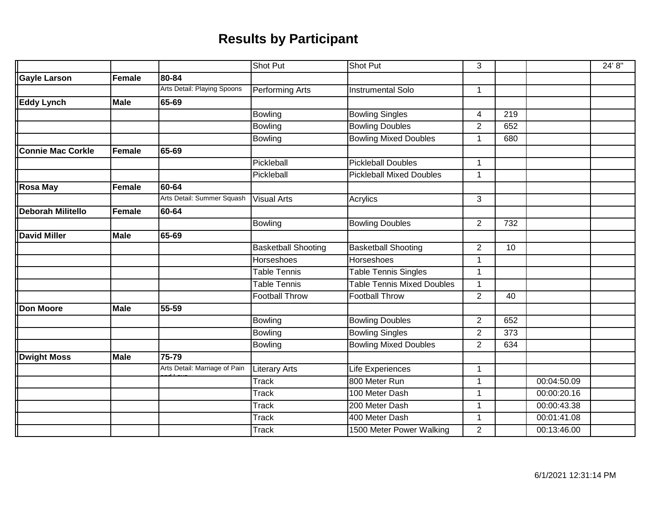|                          |               |                               | <b>Shot Put</b>            | Shot Put                          | 3              |                  |             | 24' 8" |
|--------------------------|---------------|-------------------------------|----------------------------|-----------------------------------|----------------|------------------|-------------|--------|
| <b>Gayle Larson</b>      | Female        | 80-84                         |                            |                                   |                |                  |             |        |
|                          |               | Arts Detail: Playing Spoons   | <b>Performing Arts</b>     | <b>Instrumental Solo</b>          | $\mathbf{1}$   |                  |             |        |
| <b>Eddy Lynch</b>        | <b>Male</b>   | 65-69                         |                            |                                   |                |                  |             |        |
|                          |               |                               | Bowling                    | <b>Bowling Singles</b>            | $\overline{4}$ | 219              |             |        |
|                          |               |                               | Bowling                    | <b>Bowling Doubles</b>            | $\overline{2}$ | 652              |             |        |
|                          |               |                               | Bowling                    | <b>Bowling Mixed Doubles</b>      | 1              | 680              |             |        |
| <b>Connie Mac Corkle</b> | <b>Female</b> | 65-69                         |                            |                                   |                |                  |             |        |
|                          |               |                               | Pickleball                 | <b>Pickleball Doubles</b>         | 1              |                  |             |        |
|                          |               |                               | Pickleball                 | <b>Pickleball Mixed Doubles</b>   | 1              |                  |             |        |
| <b>Rosa May</b>          | Female        | 60-64                         |                            |                                   |                |                  |             |        |
|                          |               | Arts Detail: Summer Squash    | <b>Visual Arts</b>         | Acrylics                          | 3              |                  |             |        |
| <b>Deborah Militello</b> | <b>Female</b> | 60-64                         |                            |                                   |                |                  |             |        |
|                          |               |                               | <b>Bowling</b>             | <b>Bowling Doubles</b>            | $\overline{2}$ | 732              |             |        |
| <b>David Miller</b>      | <b>Male</b>   | 65-69                         |                            |                                   |                |                  |             |        |
|                          |               |                               | <b>Basketball Shooting</b> | <b>Basketball Shooting</b>        | $\overline{2}$ | 10               |             |        |
|                          |               |                               | Horseshoes                 | Horseshoes                        | 1              |                  |             |        |
|                          |               |                               | <b>Table Tennis</b>        | <b>Table Tennis Singles</b>       | 1              |                  |             |        |
|                          |               |                               | <b>Table Tennis</b>        | <b>Table Tennis Mixed Doubles</b> | 1              |                  |             |        |
|                          |               |                               | <b>Football Throw</b>      | <b>Football Throw</b>             | $\overline{2}$ | 40               |             |        |
| <b>Don Moore</b>         | <b>Male</b>   | 55-59                         |                            |                                   |                |                  |             |        |
|                          |               |                               | Bowling                    | <b>Bowling Doubles</b>            | $\overline{2}$ | 652              |             |        |
|                          |               |                               | Bowling                    | <b>Bowling Singles</b>            | $\overline{2}$ | $\overline{373}$ |             |        |
|                          |               |                               | Bowling                    | <b>Bowling Mixed Doubles</b>      | $\overline{2}$ | 634              |             |        |
| <b>Dwight Moss</b>       | <b>Male</b>   | 75-79                         |                            |                                   |                |                  |             |        |
|                          |               | Arts Detail: Marriage of Pain | <b>Literary Arts</b>       | Life Experiences                  | $\overline{1}$ |                  |             |        |
|                          |               |                               | <b>Track</b>               | 800 Meter Run                     | 1              |                  | 00:04:50.09 |        |
|                          |               |                               | <b>Track</b>               | 100 Meter Dash                    | $\overline{1}$ |                  | 00:00:20.16 |        |
|                          |               |                               | <b>Track</b>               | 200 Meter Dash                    | $\overline{1}$ |                  | 00:00:43.38 |        |
|                          |               |                               | <b>Track</b>               | 400 Meter Dash                    | 1              |                  | 00:01:41.08 |        |
|                          |               |                               | <b>Track</b>               | 1500 Meter Power Walking          | $\overline{2}$ |                  | 00:13:46.00 |        |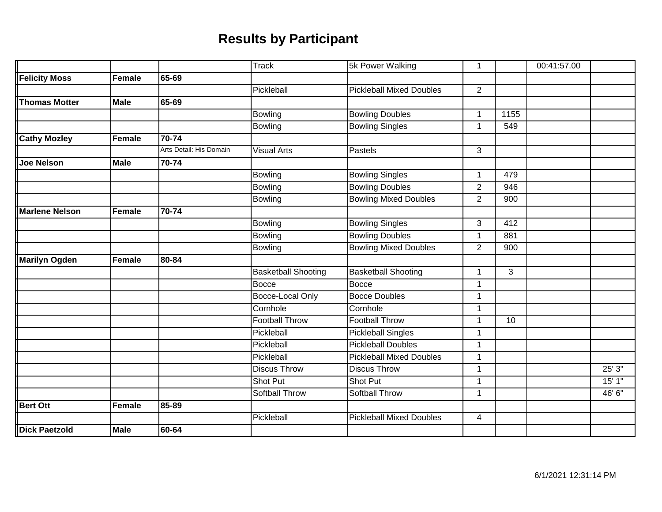|                       |               |                         | <b>Track</b>               | 5k Power Walking                | 1              |      | 00:41:57.00 |        |
|-----------------------|---------------|-------------------------|----------------------------|---------------------------------|----------------|------|-------------|--------|
| <b>Felicity Moss</b>  | Female        | 65-69                   |                            |                                 |                |      |             |        |
|                       |               |                         | Pickleball                 | <b>Pickleball Mixed Doubles</b> | $\overline{2}$ |      |             |        |
| <b>Thomas Motter</b>  | <b>Male</b>   | 65-69                   |                            |                                 |                |      |             |        |
|                       |               |                         | Bowling                    | <b>Bowling Doubles</b>          | $\mathbf{1}$   | 1155 |             |        |
|                       |               |                         | <b>Bowling</b>             | <b>Bowling Singles</b>          | 1              | 549  |             |        |
| <b>Cathy Mozley</b>   | Female        | $70 - 74$               |                            |                                 |                |      |             |        |
|                       |               | Arts Detail: His Domain | <b>Visual Arts</b>         | Pastels                         | 3              |      |             |        |
| <b>Joe Nelson</b>     | <b>Male</b>   | 70-74                   |                            |                                 |                |      |             |        |
|                       |               |                         | Bowling                    | <b>Bowling Singles</b>          | $\mathbf{1}$   | 479  |             |        |
|                       |               |                         | <b>Bowling</b>             | <b>Bowling Doubles</b>          | $\overline{2}$ | 946  |             |        |
|                       |               |                         | Bowling                    | <b>Bowling Mixed Doubles</b>    | $\overline{2}$ | 900  |             |        |
| <b>Marlene Nelson</b> | <b>Female</b> | 70-74                   |                            |                                 |                |      |             |        |
|                       |               |                         | Bowling                    | <b>Bowling Singles</b>          | 3              | 412  |             |        |
|                       |               |                         | <b>Bowling</b>             | <b>Bowling Doubles</b>          | $\mathbf{1}$   | 881  |             |        |
|                       |               |                         | <b>Bowling</b>             | <b>Bowling Mixed Doubles</b>    | $\overline{2}$ | 900  |             |        |
| <b>Marilyn Ogden</b>  | Female        | 80-84                   |                            |                                 |                |      |             |        |
|                       |               |                         | <b>Basketball Shooting</b> | <b>Basketball Shooting</b>      | 1              | 3    |             |        |
|                       |               |                         | <b>Bocce</b>               | Bocce                           | $\mathbf{1}$   |      |             |        |
|                       |               |                         | Bocce-Local Only           | <b>Bocce Doubles</b>            | 1              |      |             |        |
|                       |               |                         | Cornhole                   | Cornhole                        | $\mathbf{1}$   |      |             |        |
|                       |               |                         | <b>Football Throw</b>      | <b>Football Throw</b>           | 1              | 10   |             |        |
|                       |               |                         | Pickleball                 | <b>Pickleball Singles</b>       | 1              |      |             |        |
|                       |               |                         | Pickleball                 | <b>Pickleball Doubles</b>       | $\mathbf{1}$   |      |             |        |
|                       |               |                         | Pickleball                 | <b>Pickleball Mixed Doubles</b> | 1              |      |             |        |
|                       |               |                         | <b>Discus Throw</b>        | <b>Discus Throw</b>             | $\mathbf{1}$   |      |             | 25' 3" |
|                       |               |                         | Shot Put                   | Shot Put                        | $\mathbf{1}$   |      |             | 15'1"  |
|                       |               |                         | <b>Softball Throw</b>      | <b>Softball Throw</b>           | $\mathbf{1}$   |      |             | 46' 6" |
| <b>Bert Ott</b>       | <b>Female</b> | 85-89                   |                            |                                 |                |      |             |        |
|                       |               |                         | Pickleball                 | <b>Pickleball Mixed Doubles</b> | $\overline{4}$ |      |             |        |
| <b>Dick Paetzold</b>  | <b>Male</b>   | 60-64                   |                            |                                 |                |      |             |        |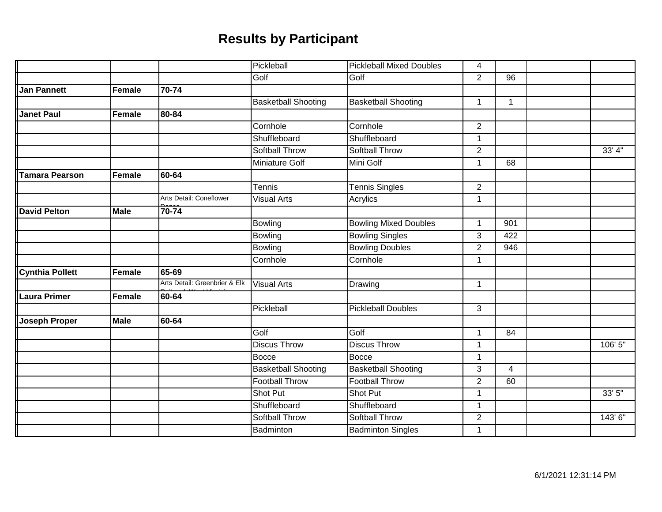|                        |               |                               | Pickleball                 | <b>Pickleball Mixed Doubles</b> | $\overline{4}$ |                 |         |
|------------------------|---------------|-------------------------------|----------------------------|---------------------------------|----------------|-----------------|---------|
|                        |               |                               | Golf                       | Golf                            | $\overline{2}$ | $\overline{96}$ |         |
| <b>Jan Pannett</b>     | Female        | 70-74                         |                            |                                 |                |                 |         |
|                        |               |                               | <b>Basketball Shooting</b> | <b>Basketball Shooting</b>      | $\mathbf 1$    | $\mathbf{1}$    |         |
| <b>Janet Paul</b>      | Female        | 80-84                         |                            |                                 |                |                 |         |
|                        |               |                               | Cornhole                   | Cornhole                        | $\overline{2}$ |                 |         |
|                        |               |                               | Shuffleboard               | Shuffleboard                    | $\mathbf{1}$   |                 |         |
|                        |               |                               | <b>Softball Throw</b>      | <b>Softball Throw</b>           | $\overline{2}$ |                 | 33' 4'' |
|                        |               |                               | <b>Miniature Golf</b>      | Mini Golf                       | $\mathbf 1$    | 68              |         |
| <b>Tamara Pearson</b>  | <b>Female</b> | 60-64                         |                            |                                 |                |                 |         |
|                        |               |                               | Tennis                     | <b>Tennis Singles</b>           | $\overline{2}$ |                 |         |
|                        |               | Arts Detail: Coneflower       | <b>Visual Arts</b>         | Acrylics                        | $\mathbf{1}$   |                 |         |
| <b>David Pelton</b>    | <b>Male</b>   | 70-74                         |                            |                                 |                |                 |         |
|                        |               |                               | <b>Bowling</b>             | <b>Bowling Mixed Doubles</b>    | 1              | 901             |         |
|                        |               |                               | Bowling                    | <b>Bowling Singles</b>          | 3              | 422             |         |
|                        |               |                               | <b>Bowling</b>             | <b>Bowling Doubles</b>          | $\overline{2}$ | 946             |         |
|                        |               |                               | Cornhole                   | Cornhole                        | $\mathbf{1}$   |                 |         |
| <b>Cynthia Pollett</b> | Female        | 65-69                         |                            |                                 |                |                 |         |
|                        |               | Arts Detail: Greenbrier & Elk | <b>Visual Arts</b>         | Drawing                         | $\mathbf 1$    |                 |         |
| Laura Primer           | Female        | 60-64                         |                            |                                 |                |                 |         |
|                        |               |                               | Pickleball                 | <b>Pickleball Doubles</b>       | 3              |                 |         |
| <b>Joseph Proper</b>   | <b>Male</b>   | 60-64                         |                            |                                 |                |                 |         |
|                        |               |                               | Golf                       | Golf                            | $\mathbf{1}$   | 84              |         |
|                        |               |                               | <b>Discus Throw</b>        | <b>Discus Throw</b>             | $\mathbf 1$    |                 | 106' 5" |
|                        |               |                               | <b>Bocce</b>               | <b>Bocce</b>                    | $\mathbf 1$    |                 |         |
|                        |               |                               | <b>Basketball Shooting</b> | <b>Basketball Shooting</b>      | 3              | $\overline{4}$  |         |
|                        |               |                               | <b>Football Throw</b>      | <b>Football Throw</b>           | $\overline{2}$ | 60              |         |
|                        |               |                               | <b>Shot Put</b>            | Shot Put                        | $\mathbf 1$    |                 | 33' 5"  |
|                        |               |                               | Shuffleboard               | Shuffleboard                    | $\overline{1}$ |                 |         |
|                        |               |                               | <b>Softball Throw</b>      | <b>Softball Throw</b>           | $\overline{2}$ |                 | 143' 6" |
|                        |               |                               | Badminton                  | <b>Badminton Singles</b>        | 1              |                 |         |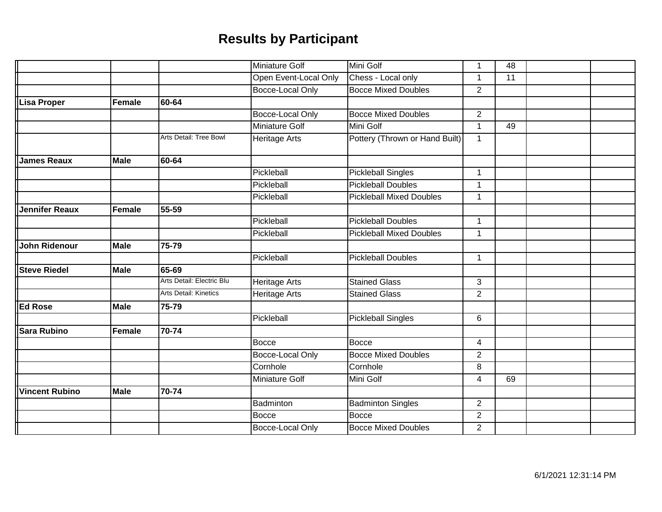|                       |               |                           | <b>Miniature Golf</b> | Mini Golf                       | $\mathbf{1}$   | 48 |  |
|-----------------------|---------------|---------------------------|-----------------------|---------------------------------|----------------|----|--|
|                       |               |                           | Open Event-Local Only | Chess - Local only              | $\mathbf{1}$   | 11 |  |
|                       |               |                           | Bocce-Local Only      | <b>Bocce Mixed Doubles</b>      | $\overline{2}$ |    |  |
| <b>Lisa Proper</b>    | <b>Female</b> | 60-64                     |                       |                                 |                |    |  |
|                       |               |                           | Bocce-Local Only      | <b>Bocce Mixed Doubles</b>      | $\overline{2}$ |    |  |
|                       |               |                           | Miniature Golf        | Mini Golf                       | $\mathbf{1}$   | 49 |  |
|                       |               | Arts Detail: Tree Bowl    | <b>Heritage Arts</b>  | Pottery (Thrown or Hand Built)  | $\mathbf{1}$   |    |  |
| <b>James Reaux</b>    | <b>Male</b>   | 60-64                     |                       |                                 |                |    |  |
|                       |               |                           | Pickleball            | <b>Pickleball Singles</b>       | $\mathbf{1}$   |    |  |
|                       |               |                           | Pickleball            | <b>Pickleball Doubles</b>       | $\mathbf{1}$   |    |  |
|                       |               |                           | Pickleball            | <b>Pickleball Mixed Doubles</b> | $\mathbf{1}$   |    |  |
| <b>Jennifer Reaux</b> | <b>Female</b> | 55-59                     |                       |                                 |                |    |  |
|                       |               |                           | Pickleball            | <b>Pickleball Doubles</b>       | $\mathbf{1}$   |    |  |
|                       |               |                           | Pickleball            | <b>Pickleball Mixed Doubles</b> | $\mathbf{1}$   |    |  |
| <b>John Ridenour</b>  | <b>Male</b>   | 75-79                     |                       |                                 |                |    |  |
|                       |               |                           | Pickleball            | <b>Pickleball Doubles</b>       | $\mathbf{1}$   |    |  |
| <b>Steve Riedel</b>   | <b>Male</b>   | 65-69                     |                       |                                 |                |    |  |
|                       |               | Arts Detail: Electric Blu | <b>Heritage Arts</b>  | <b>Stained Glass</b>            | 3              |    |  |
|                       |               | Arts Detail: Kinetics     | Heritage Arts         | <b>Stained Glass</b>            | $\overline{2}$ |    |  |
| <b>Ed Rose</b>        | <b>Male</b>   | 75-79                     |                       |                                 |                |    |  |
|                       |               |                           | Pickleball            | <b>Pickleball Singles</b>       | 6              |    |  |
| <b>Sara Rubino</b>    | Female        | 70-74                     |                       |                                 |                |    |  |
|                       |               |                           | <b>Bocce</b>          | <b>Bocce</b>                    | 4              |    |  |
|                       |               |                           | Bocce-Local Only      | <b>Bocce Mixed Doubles</b>      | $\overline{2}$ |    |  |
|                       |               |                           | Cornhole              | Cornhole                        | 8              |    |  |
|                       |               |                           | Miniature Golf        | Mini Golf                       | $\overline{4}$ | 69 |  |
| <b>Vincent Rubino</b> | <b>Male</b>   | 70-74                     |                       |                                 |                |    |  |
|                       |               |                           | Badminton             | <b>Badminton Singles</b>        | $\overline{2}$ |    |  |
|                       |               |                           | <b>Bocce</b>          | <b>Bocce</b>                    | $\overline{2}$ |    |  |
|                       |               |                           | Bocce-Local Only      | <b>Bocce Mixed Doubles</b>      | $\overline{2}$ |    |  |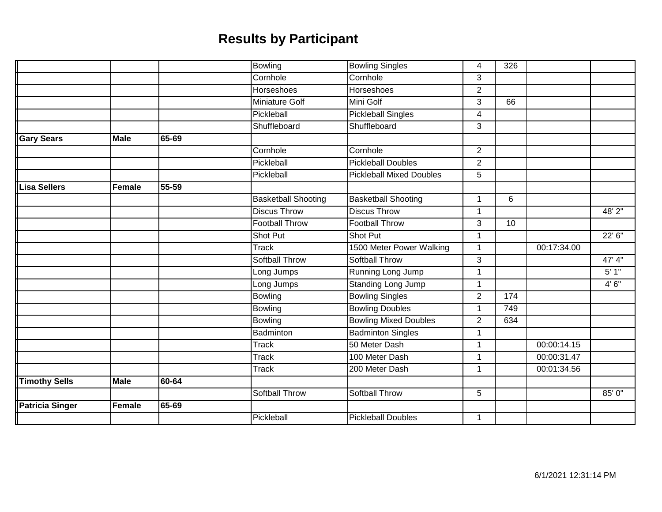|                        |               |       | Bowling                    | <b>Bowling Singles</b>          | 4              | 326 |             |        |
|------------------------|---------------|-------|----------------------------|---------------------------------|----------------|-----|-------------|--------|
|                        |               |       | Cornhole                   | Cornhole                        | 3              |     |             |        |
|                        |               |       | <b>Horseshoes</b>          | <b>Horseshoes</b>               | $\overline{2}$ |     |             |        |
|                        |               |       | <b>Miniature Golf</b>      | Mini Golf                       | 3              | 66  |             |        |
|                        |               |       | Pickleball                 | <b>Pickleball Singles</b>       | $\overline{4}$ |     |             |        |
|                        |               |       | Shuffleboard               | Shuffleboard                    | 3              |     |             |        |
| <b>Gary Sears</b>      | <b>Male</b>   | 65-69 |                            |                                 |                |     |             |        |
|                        |               |       | Cornhole                   | Cornhole                        | $\overline{2}$ |     |             |        |
|                        |               |       | Pickleball                 | <b>Pickleball Doubles</b>       | $\overline{2}$ |     |             |        |
|                        |               |       | Pickleball                 | <b>Pickleball Mixed Doubles</b> | 5              |     |             |        |
| Lisa Sellers           | Female        | 55-59 |                            |                                 |                |     |             |        |
|                        |               |       | <b>Basketball Shooting</b> | <b>Basketball Shooting</b>      | $\mathbf{1}$   | 6   |             |        |
|                        |               |       | <b>Discus Throw</b>        | <b>Discus Throw</b>             | 1              |     |             | 48' 2" |
|                        |               |       | <b>Football Throw</b>      | <b>Football Throw</b>           | 3              | 10  |             |        |
|                        |               |       | <b>Shot Put</b>            | Shot Put                        | $\mathbf{1}$   |     |             | 22' 6" |
|                        |               |       | Track                      | 1500 Meter Power Walking        | $\mathbf 1$    |     | 00:17:34.00 |        |
|                        |               |       | Softball Throw             | <b>Softball Throw</b>           | 3              |     |             | 47' 4" |
|                        |               |       | Long Jumps                 | Running Long Jump               | $\mathbf{1}$   |     |             | $5'1"$ |
|                        |               |       | Long Jumps                 | <b>Standing Long Jump</b>       | $\mathbf{1}$   |     |             | 4'6''  |
|                        |               |       | Bowling                    | <b>Bowling Singles</b>          | $\overline{2}$ | 174 |             |        |
|                        |               |       | <b>Bowling</b>             | <b>Bowling Doubles</b>          | $\mathbf{1}$   | 749 |             |        |
|                        |               |       | Bowling                    | <b>Bowling Mixed Doubles</b>    | $\overline{2}$ | 634 |             |        |
|                        |               |       | Badminton                  | <b>Badminton Singles</b>        | $\mathbf{1}$   |     |             |        |
|                        |               |       | Track                      | 50 Meter Dash                   | $\mathbf{1}$   |     | 00:00:14.15 |        |
|                        |               |       | <b>Track</b>               | 100 Meter Dash                  | $\mathbf 1$    |     | 00:00:31.47 |        |
|                        |               |       | <b>Track</b>               | 200 Meter Dash                  | $\mathbf{1}$   |     | 00:01:34.56 |        |
| <b>Timothy Sells</b>   | <b>Male</b>   | 60-64 |                            |                                 |                |     |             |        |
|                        |               |       | Softball Throw             | Softball Throw                  | 5              |     |             | 85' 0" |
| <b>Patricia Singer</b> | <b>Female</b> | 65-69 |                            |                                 |                |     |             |        |
|                        |               |       | Pickleball                 | <b>Pickleball Doubles</b>       | $\mathbf{1}$   |     |             |        |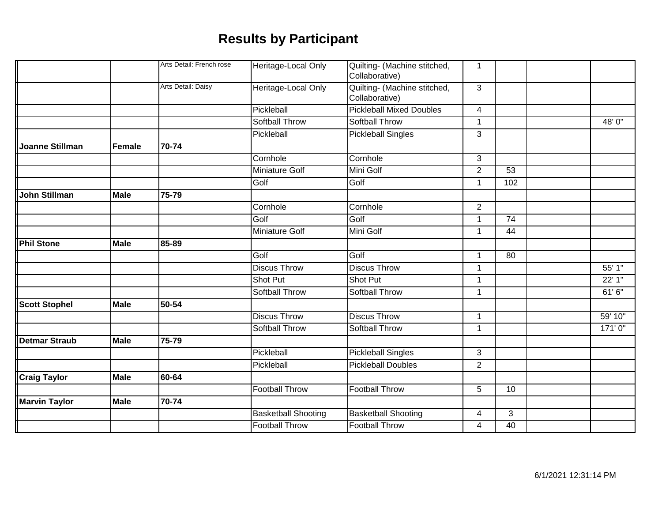|                      |               | Arts Detail: French rose | Heritage-Local Only        | Quilting- (Machine stitched,<br>Collaborative) | 1              |                 |         |
|----------------------|---------------|--------------------------|----------------------------|------------------------------------------------|----------------|-----------------|---------|
|                      |               | Arts Detail: Daisy       |                            |                                                |                |                 |         |
|                      |               |                          | Heritage-Local Only        | Quilting- (Machine stitched,<br>Collaborative) | 3              |                 |         |
|                      |               |                          | Pickleball                 | <b>Pickleball Mixed Doubles</b>                | 4              |                 |         |
|                      |               |                          | <b>Softball Throw</b>      | <b>Softball Throw</b>                          | 1              |                 | 48' 0"  |
|                      |               |                          | Pickleball                 | <b>Pickleball Singles</b>                      | 3              |                 |         |
|                      |               |                          |                            |                                                |                |                 |         |
| Joanne Stillman      | <b>Female</b> | 70-74                    |                            |                                                |                |                 |         |
|                      |               |                          | Cornhole                   | Cornhole                                       | 3              |                 |         |
|                      |               |                          | <b>Miniature Golf</b>      | Mini Golf                                      | $\overline{2}$ | 53              |         |
|                      |               |                          | Golf                       | Golf                                           | 1              | 102             |         |
| John Stillman        | <b>Male</b>   | 75-79                    |                            |                                                |                |                 |         |
|                      |               |                          | Cornhole                   | Cornhole                                       | $\overline{2}$ |                 |         |
|                      |               |                          | Golf                       | Golf                                           | 1              | $\overline{74}$ |         |
|                      |               |                          | <b>Miniature Golf</b>      | Mini Golf                                      | $\mathbf 1$    | 44              |         |
| <b>Phil Stone</b>    | <b>Male</b>   | 85-89                    |                            |                                                |                |                 |         |
|                      |               |                          | Golf                       | Golf                                           | 1              | 80              |         |
|                      |               |                          | <b>Discus Throw</b>        | <b>Discus Throw</b>                            | 1              |                 | 55' 1"  |
|                      |               |                          | Shot Put                   | Shot Put                                       | 1              |                 | 22' 1"  |
|                      |               |                          | <b>Softball Throw</b>      | <b>Softball Throw</b>                          | 1              |                 | 61'6"   |
| <b>Scott Stophel</b> | <b>Male</b>   | 50-54                    |                            |                                                |                |                 |         |
|                      |               |                          | <b>Discus Throw</b>        | <b>Discus Throw</b>                            | $\mathbf{1}$   |                 | 59' 10" |
|                      |               |                          | <b>Softball Throw</b>      | <b>Softball Throw</b>                          | $\mathbf 1$    |                 | 171'0'' |
| Detmar Straub        | <b>Male</b>   | 75-79                    |                            |                                                |                |                 |         |
|                      |               |                          | Pickleball                 | <b>Pickleball Singles</b>                      | 3              |                 |         |
|                      |               |                          | Pickleball                 | <b>Pickleball Doubles</b>                      | $\overline{2}$ |                 |         |
| <b>Craig Taylor</b>  | <b>Male</b>   | 60-64                    |                            |                                                |                |                 |         |
|                      |               |                          | <b>Football Throw</b>      | <b>Football Throw</b>                          | 5              | 10              |         |
| <b>Marvin Taylor</b> | <b>Male</b>   | 70-74                    |                            |                                                |                |                 |         |
|                      |               |                          | <b>Basketball Shooting</b> | <b>Basketball Shooting</b>                     | 4              | 3               |         |
|                      |               |                          | <b>Football Throw</b>      | <b>Football Throw</b>                          | 4              | 40              |         |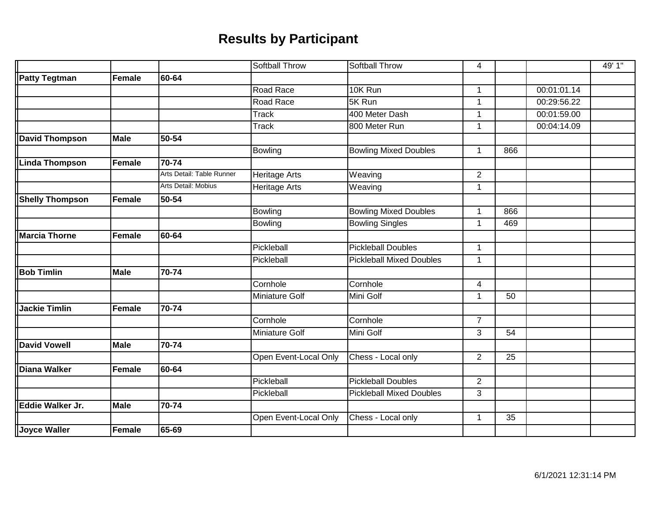|                        |               |                           | <b>Softball Throw</b> | Softball Throw                  | 4              |                 |             | 49' 1" |
|------------------------|---------------|---------------------------|-----------------------|---------------------------------|----------------|-----------------|-------------|--------|
| <b>Patty Tegtman</b>   | <b>Female</b> | 60-64                     |                       |                                 |                |                 |             |        |
|                        |               |                           | Road Race             | 10K Run                         | $\mathbf{1}$   |                 | 00:01:01.14 |        |
|                        |               |                           | Road Race             | 5K Run                          | $\mathbf 1$    |                 | 00:29:56.22 |        |
|                        |               |                           | <b>Track</b>          | 400 Meter Dash                  | $\overline{1}$ |                 | 00:01:59.00 |        |
|                        |               |                           | Track                 | 800 Meter Run                   | 1              |                 | 00:04:14.09 |        |
| <b>David Thompson</b>  | <b>Male</b>   | 50-54                     |                       |                                 |                |                 |             |        |
|                        |               |                           | Bowling               | <b>Bowling Mixed Doubles</b>    | $\mathbf{1}$   | 866             |             |        |
| <b>Linda Thompson</b>  | <b>Female</b> | 70-74                     |                       |                                 |                |                 |             |        |
|                        |               | Arts Detail: Table Runner | Heritage Arts         | Weaving                         | $\overline{2}$ |                 |             |        |
|                        |               | Arts Detail: Mobius       | Heritage Arts         | Weaving                         | $\mathbf 1$    |                 |             |        |
| <b>Shelly Thompson</b> | Female        | 50-54                     |                       |                                 |                |                 |             |        |
|                        |               |                           | <b>Bowling</b>        | <b>Bowling Mixed Doubles</b>    | $\mathbf 1$    | 866             |             |        |
|                        |               |                           | Bowling               | <b>Bowling Singles</b>          | $\mathbf{1}$   | 469             |             |        |
| <b>Marcia Thorne</b>   | <b>Female</b> | 60-64                     |                       |                                 |                |                 |             |        |
|                        |               |                           | Pickleball            | <b>Pickleball Doubles</b>       | $\mathbf{1}$   |                 |             |        |
|                        |               |                           | Pickleball            | <b>Pickleball Mixed Doubles</b> | $\mathbf 1$    |                 |             |        |
| <b>Bob Timlin</b>      | <b>Male</b>   | 70-74                     |                       |                                 |                |                 |             |        |
|                        |               |                           | Cornhole              | Cornhole                        | 4              |                 |             |        |
|                        |               |                           | <b>Miniature Golf</b> | Mini Golf                       | $\mathbf 1$    | 50              |             |        |
| <b>Jackie Timlin</b>   | <b>Female</b> | 70-74                     |                       |                                 |                |                 |             |        |
|                        |               |                           | Cornhole              | Cornhole                        | $\overline{7}$ |                 |             |        |
|                        |               |                           | <b>Miniature Golf</b> | Mini Golf                       | 3              | 54              |             |        |
| <b>David Vowell</b>    | <b>Male</b>   | 70-74                     |                       |                                 |                |                 |             |        |
|                        |               |                           | Open Event-Local Only | Chess - Local only              | $\overline{2}$ | 25              |             |        |
| <b>Diana Walker</b>    | <b>Female</b> | 60-64                     |                       |                                 |                |                 |             |        |
|                        |               |                           | Pickleball            | <b>Pickleball Doubles</b>       | $\overline{2}$ |                 |             |        |
|                        |               |                           | Pickleball            | <b>Pickleball Mixed Doubles</b> | 3              |                 |             |        |
| Eddie Walker Jr.       | <b>Male</b>   | 70-74                     |                       |                                 |                |                 |             |        |
|                        |               |                           | Open Event-Local Only | Chess - Local only              | $\mathbf 1$    | $\overline{35}$ |             |        |
| <b>Joyce Waller</b>    | <b>Female</b> | 65-69                     |                       |                                 |                |                 |             |        |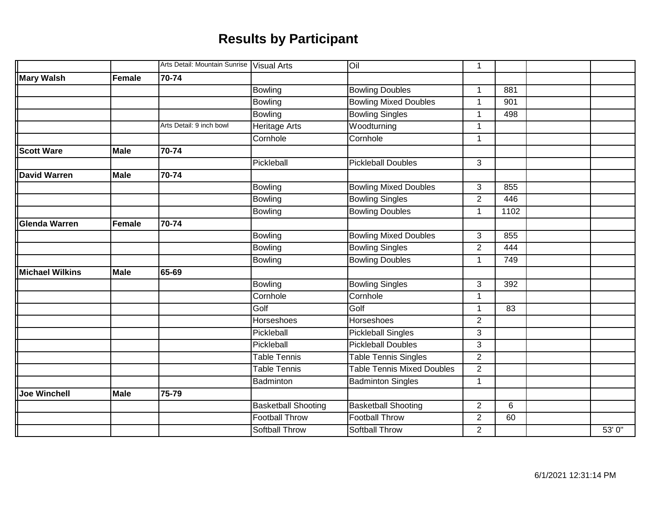|                        |             | Arts Detail: Mountain Sunrise   Visual Arts |                            | liO                               | 1              |      |        |
|------------------------|-------------|---------------------------------------------|----------------------------|-----------------------------------|----------------|------|--------|
| <b>Mary Walsh</b>      | Female      | 70-74                                       |                            |                                   |                |      |        |
|                        |             |                                             | <b>Bowling</b>             | <b>Bowling Doubles</b>            | 1              | 881  |        |
|                        |             |                                             | <b>Bowling</b>             | <b>Bowling Mixed Doubles</b>      | 1              | 901  |        |
|                        |             |                                             | <b>Bowling</b>             | <b>Bowling Singles</b>            | 1              | 498  |        |
|                        |             | Arts Detail: 9 inch bowl                    | Heritage Arts              | Woodturning                       | 1              |      |        |
|                        |             |                                             | Cornhole                   | Cornhole                          | 1              |      |        |
| <b>Scott Ware</b>      | Male        | 70-74                                       |                            |                                   |                |      |        |
|                        |             |                                             | Pickleball                 | <b>Pickleball Doubles</b>         | 3              |      |        |
| <b>David Warren</b>    | <b>Male</b> | 70-74                                       |                            |                                   |                |      |        |
|                        |             |                                             | <b>Bowling</b>             | <b>Bowling Mixed Doubles</b>      | 3              | 855  |        |
|                        |             |                                             | <b>Bowling</b>             | <b>Bowling Singles</b>            | $\overline{2}$ | 446  |        |
|                        |             |                                             | Bowling                    | <b>Bowling Doubles</b>            | 1              | 1102 |        |
| <b>Glenda Warren</b>   | Female      | 70-74                                       |                            |                                   |                |      |        |
|                        |             |                                             | <b>Bowling</b>             | <b>Bowling Mixed Doubles</b>      | 3              | 855  |        |
|                        |             |                                             | <b>Bowling</b>             | <b>Bowling Singles</b>            | $\overline{2}$ | 444  |        |
|                        |             |                                             | <b>Bowling</b>             | <b>Bowling Doubles</b>            | 1              | 749  |        |
| <b>Michael Wilkins</b> | Male        | 65-69                                       |                            |                                   |                |      |        |
|                        |             |                                             | <b>Bowling</b>             | <b>Bowling Singles</b>            | 3              | 392  |        |
|                        |             |                                             | Cornhole                   | Cornhole                          | 1              |      |        |
|                        |             |                                             | Golf                       | Golf                              | 1              | 83   |        |
|                        |             |                                             | Horseshoes                 | <b>Horseshoes</b>                 | $\overline{2}$ |      |        |
|                        |             |                                             | Pickleball                 | <b>Pickleball Singles</b>         | 3              |      |        |
|                        |             |                                             | Pickleball                 | <b>Pickleball Doubles</b>         | 3              |      |        |
|                        |             |                                             | <b>Table Tennis</b>        | <b>Table Tennis Singles</b>       | $\overline{2}$ |      |        |
|                        |             |                                             | Table Tennis               | <b>Table Tennis Mixed Doubles</b> | $\overline{2}$ |      |        |
|                        |             |                                             | Badminton                  | <b>Badminton Singles</b>          | 1              |      |        |
| <b>Joe Winchell</b>    | Male        | 75-79                                       |                            |                                   |                |      |        |
|                        |             |                                             | <b>Basketball Shooting</b> | <b>Basketball Shooting</b>        | $\overline{2}$ | 6    |        |
|                        |             |                                             | <b>Football Throw</b>      | <b>Football Throw</b>             | $\overline{2}$ | 60   |        |
|                        |             |                                             | <b>Softball Throw</b>      | <b>Softball Throw</b>             | $\overline{2}$ |      | 53' 0" |